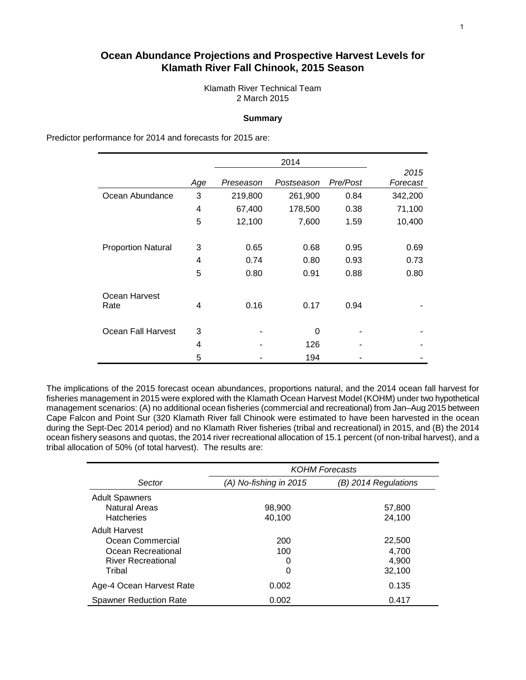# **Ocean Abundance Projections and Prospective Harvest Levels for Klamath River Fall Chinook, 2015 Season**

Klamath River Technical Team 2 March 2015

# **Summary**

Predictor performance for 2014 and forecasts for 2015 are:

|                           | Age | Preseason | Postseason | Pre/Post | 2015<br>Forecast |
|---------------------------|-----|-----------|------------|----------|------------------|
| Ocean Abundance           | 3   | 219,800   | 261,900    | 0.84     | 342,200          |
|                           | 4   | 67,400    | 178,500    | 0.38     | 71,100           |
|                           | 5   | 12,100    | 7,600      | 1.59     | 10,400           |
|                           |     |           |            |          |                  |
| <b>Proportion Natural</b> | 3   | 0.65      | 0.68       | 0.95     | 0.69             |
|                           | 4   | 0.74      | 0.80       | 0.93     | 0.73             |
|                           | 5   | 0.80      | 0.91       | 0.88     | 0.80             |
| Ocean Harvest             |     |           |            |          |                  |
| Rate                      | 4   | 0.16      | 0.17       | 0.94     |                  |
| Ocean Fall Harvest        | 3   |           | 0          |          |                  |
|                           | 4   |           | 126        |          |                  |
|                           | 5   |           | 194        |          |                  |

The implications of the 2015 forecast ocean abundances, proportions natural, and the 2014 ocean fall harvest for fisheries management in 2015 were explored with the Klamath Ocean Harvest Model (KOHM) under two hypothetical management scenarios: (A) no additional ocean fisheries (commercial and recreational) from Jan–Aug 2015 between Cape Falcon and Point Sur (320 Klamath River fall Chinook were estimated to have been harvested in the ocean during the Sept-Dec 2014 period) and no Klamath River fisheries (tribal and recreational) in 2015, and (B) the 2014 ocean fishery seasons and quotas, the 2014 river recreational allocation of 15.1 percent (of non-tribal harvest), and a tribal allocation of 50% (of total harvest). The results are:

|                               | <b>KOHM Forecasts</b>  |                      |  |  |  |  |  |
|-------------------------------|------------------------|----------------------|--|--|--|--|--|
| Sector                        | (A) No-fishing in 2015 | (B) 2014 Regulations |  |  |  |  |  |
| <b>Adult Spawners</b>         |                        |                      |  |  |  |  |  |
| <b>Natural Areas</b>          | 98,900                 | 57,800               |  |  |  |  |  |
| <b>Hatcheries</b>             | 40,100                 | 24,100               |  |  |  |  |  |
| <b>Adult Harvest</b>          |                        |                      |  |  |  |  |  |
| Ocean Commercial              | 200                    | 22,500               |  |  |  |  |  |
| Ocean Recreational            | 100                    | 4,700                |  |  |  |  |  |
| <b>River Recreational</b>     | 0                      | 4,900                |  |  |  |  |  |
| Tribal                        | 0                      | 32,100               |  |  |  |  |  |
| Age-4 Ocean Harvest Rate      | 0.002                  | 0.135                |  |  |  |  |  |
| <b>Spawner Reduction Rate</b> | 0.002                  | 0.417                |  |  |  |  |  |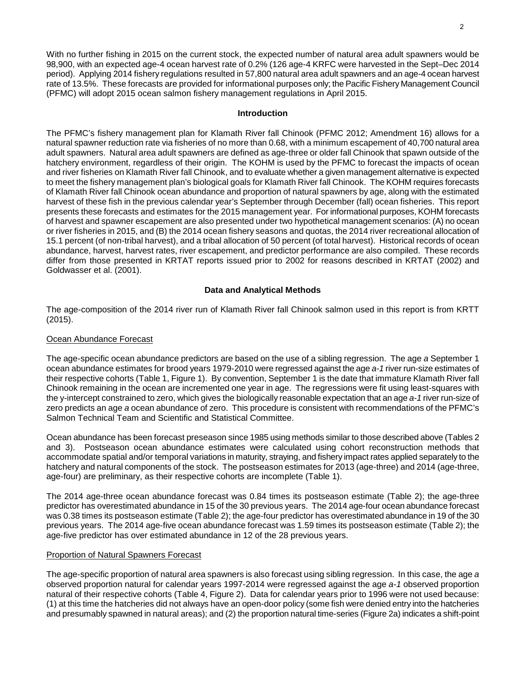With no further fishing in 2015 on the current stock, the expected number of natural area adult spawners would be 98,900, with an expected age-4 ocean harvest rate of 0.2% (126 age-4 KRFC were harvested in the Sept–Dec 2014 period). Applying 2014 fishery regulations resulted in 57,800 natural area adult spawners and an age-4 ocean harvest rate of 13.5%. These forecasts are provided for informational purposes only; the Pacific Fishery Management Council (PFMC) will adopt 2015 ocean salmon fishery management regulations in April 2015.

# **Introduction**

The PFMC's fishery management plan for Klamath River fall Chinook (PFMC 2012; Amendment 16) allows for a natural spawner reduction rate via fisheries of no more than 0.68, with a minimum escapement of 40,700 natural area adult spawners. Natural area adult spawners are defined as age-three or older fall Chinook that spawn outside of the hatchery environment, regardless of their origin. The KOHM is used by the PFMC to forecast the impacts of ocean and river fisheries on Klamath River fall Chinook, and to evaluate whether a given management alternative is expected to meet the fishery management plan's biological goals for Klamath River fall Chinook. The KOHM requires forecasts of Klamath River fall Chinook ocean abundance and proportion of natural spawners by age, along with the estimated harvest of these fish in the previous calendar year's September through December (fall) ocean fisheries. This report presents these forecasts and estimates for the 2015 management year. For informational purposes, KOHM forecasts of harvest and spawner escapement are also presented under two hypothetical management scenarios: (A) no ocean or river fisheries in 2015, and (B) the 2014 ocean fishery seasons and quotas, the 2014 river recreational allocation of 15.1 percent (of non-tribal harvest), and a tribal allocation of 50 percent (of total harvest). Historical records of ocean abundance, harvest, harvest rates, river escapement, and predictor performance are also compiled. These records differ from those presented in KRTAT reports issued prior to 2002 for reasons described in KRTAT (2002) and Goldwasser et al. (2001).

# **Data and Analytical Methods**

The age-composition of the 2014 river run of Klamath River fall Chinook salmon used in this report is from KRTT (2015).

# Ocean Abundance Forecast

The age-specific ocean abundance predictors are based on the use of a sibling regression. The age *a* September 1 ocean abundance estimates for brood years 1979-2010 were regressed against the age *a-1* river run-size estimates of their respective cohorts (Table 1, Figure 1). By convention, September 1 is the date that immature Klamath River fall Chinook remaining in the ocean are incremented one year in age. The regressions were fit using least-squares with the y-intercept constrained to zero, which gives the biologically reasonable expectation that an age *a-1* river run-size of zero predicts an age *a* ocean abundance of zero. This procedure is consistent with recommendations of the PFMC's Salmon Technical Team and Scientific and Statistical Committee.

Ocean abundance has been forecast preseason since 1985 using methods similar to those described above (Tables 2 and 3). Postseason ocean abundance estimates were calculated using cohort reconstruction methods that accommodate spatial and/or temporal variations in maturity, straying, and fishery impact rates applied separately to the hatchery and natural components of the stock. The postseason estimates for 2013 (age-three) and 2014 (age-three, age-four) are preliminary, as their respective cohorts are incomplete (Table 1).

The 2014 age-three ocean abundance forecast was 0.84 times its postseason estimate (Table 2); the age-three predictor has overestimated abundance in 15 of the 30 previous years. The 2014 age-four ocean abundance forecast was 0.38 times its postseason estimate (Table 2); the age-four predictor has overestimated abundance in 19 of the 30 previous years. The 2014 age-five ocean abundance forecast was 1.59 times its postseason estimate (Table 2); the age-five predictor has over estimated abundance in 12 of the 28 previous years.

# Proportion of Natural Spawners Forecast

The age-specific proportion of natural area spawners is also forecast using sibling regression. In this case, the age *a*  observed proportion natural for calendar years 1997-2014 were regressed against the age *a-1* observed proportion natural of their respective cohorts (Table 4, Figure 2). Data for calendar years prior to 1996 were not used because: (1) at this time the hatcheries did not always have an open-door policy (some fish were denied entry into the hatcheries and presumably spawned in natural areas); and (2) the proportion natural time-series (Figure 2a) indicates a shift-point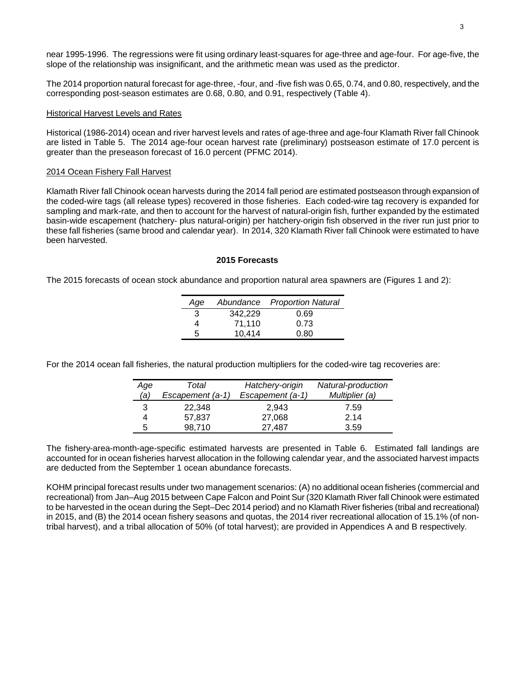near 1995-1996. The regressions were fit using ordinary least-squares for age-three and age-four. For age-five, the slope of the relationship was insignificant, and the arithmetic mean was used as the predictor.

The 2014 proportion natural forecast for age-three, -four, and -five fish was 0.65, 0.74, and 0.80, respectively, and the corresponding post-season estimates are 0.68, 0.80, and 0.91, respectively (Table 4).

# Historical Harvest Levels and Rates

Historical (1986-2014) ocean and river harvest levels and rates of age-three and age-four Klamath River fall Chinook are listed in Table 5. The 2014 age-four ocean harvest rate (preliminary) postseason estimate of 17.0 percent is greater than the preseason forecast of 16.0 percent (PFMC 2014).

# 2014 Ocean Fishery Fall Harvest

Klamath River fall Chinook ocean harvests during the 2014 fall period are estimated postseason through expansion of the coded-wire tags (all release types) recovered in those fisheries. Each coded-wire tag recovery is expanded for sampling and mark-rate, and then to account for the harvest of natural-origin fish, further expanded by the estimated basin-wide escapement (hatchery- plus natural-origin) per hatchery-origin fish observed in the river run just prior to these fall fisheries (same brood and calendar year). In 2014, 320 Klamath River fall Chinook were estimated to have been harvested.

# **2015 Forecasts**

The 2015 forecasts of ocean stock abundance and proportion natural area spawners are (Figures 1 and 2):

| Age |         | Abundance Proportion Natural |
|-----|---------|------------------------------|
| 3   | 342,229 | 0.69                         |
| 4   | 71.110  | 0.73                         |
| 5   | 10.414  | 0.80                         |

For the 2014 ocean fall fisheries, the natural production multipliers for the coded-wire tag recoveries are:

| Age | Total            | Hatchery-origin  | Natural-production |
|-----|------------------|------------------|--------------------|
| (a) | Escapement (a-1) | Escapement (a-1) | Multiplier (a)     |
| 3   | 22.348           | 2.943            | 7.59               |
|     | 57,837           | 27,068           | 2.14               |
| 5   | 98.710           | 27.487           | 3.59               |

The fishery-area-month-age-specific estimated harvests are presented in Table 6. Estimated fall landings are accounted for in ocean fisheries harvest allocation in the following calendar year, and the associated harvest impacts are deducted from the September 1 ocean abundance forecasts.

KOHM principal forecast results under two management scenarios: (A) no additional ocean fisheries (commercial and recreational) from Jan–Aug 2015 between Cape Falcon and Point Sur (320 Klamath River fall Chinook were estimated to be harvested in the ocean during the Sept–Dec 2014 period) and no Klamath River fisheries (tribal and recreational) in 2015, and (B) the 2014 ocean fishery seasons and quotas, the 2014 river recreational allocation of 15.1% (of nontribal harvest), and a tribal allocation of 50% (of total harvest); are provided in Appendices A and B respectively.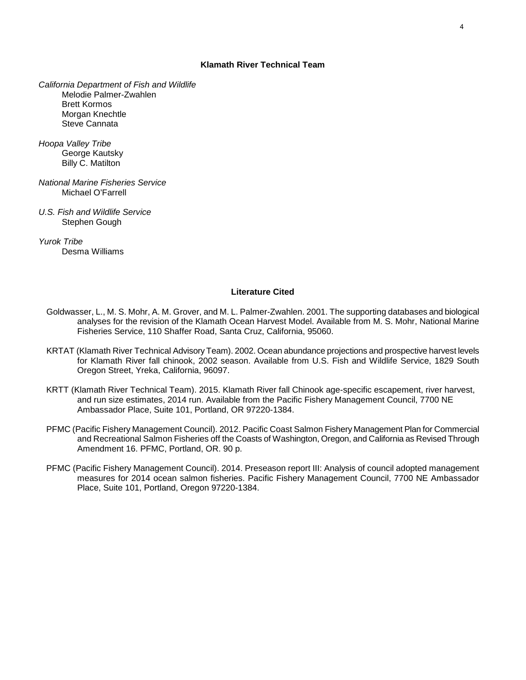# **Klamath River Technical Team**

*California Department of Fish and Wildlife* Melodie Palmer-Zwahlen Brett Kormos Morgan Knechtle Steve Cannata

*Hoopa Valley Tribe* George Kautsky Billy C. Matilton

- *National Marine Fisheries Service* Michael O'Farrell
- *U.S. Fish and Wildlife Service* Stephen Gough

*Yurok Tribe* Desma Williams

# **Literature Cited**

- Goldwasser, L., M. S. Mohr, A. M. Grover, and M. L. Palmer-Zwahlen. 2001. The supporting databases and biological analyses for the revision of the Klamath Ocean Harvest Model. Available from M. S. Mohr, National Marine Fisheries Service, 110 Shaffer Road, Santa Cruz, California, 95060.
- KRTAT (Klamath River Technical Advisory Team). 2002. Ocean abundance projections and prospective harvest levels for Klamath River fall chinook, 2002 season. Available from U.S. Fish and Wildlife Service, 1829 South Oregon Street, Yreka, California, 96097.
- KRTT (Klamath River Technical Team). 2015. Klamath River fall Chinook age-specific escapement, river harvest, and run size estimates, 2014 run. Available from the Pacific Fishery Management Council, 7700 NE Ambassador Place, Suite 101, Portland, OR 97220-1384.
- PFMC (Pacific Fishery Management Council). 2012. Pacific Coast Salmon Fishery Management Plan for Commercial and Recreational Salmon Fisheries off the Coasts of Washington, Oregon, and California as Revised Through Amendment 16. PFMC, Portland, OR. 90 p.
- PFMC (Pacific Fishery Management Council). 2014. Preseason report III: Analysis of council adopted management measures for 2014 ocean salmon fisheries. Pacific Fishery Management Council, 7700 NE Ambassador Place, Suite 101, Portland, Oregon 97220-1384.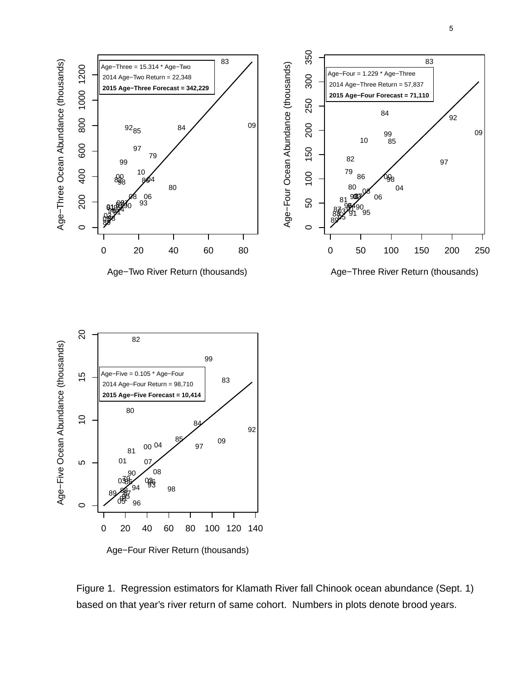



 $\circ$ 

Age−Three Ocean Abundance (thousands)

Age-Three Ocean Abundance (thousands)

Figure 1. Regression estimators for Klamath River fall Chinook ocean abundance (Sept. 1) based on that year's river return of same cohort. Numbers in plots denote brood years.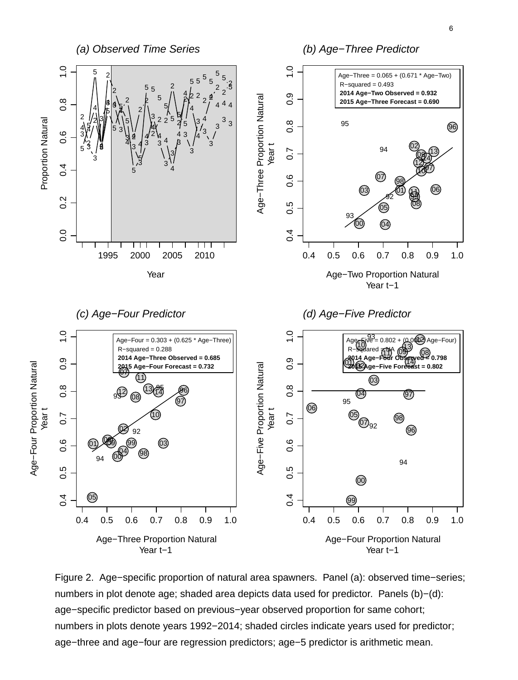

Figure 2. Age−specific proportion of natural area spawners. Panel (a): observed time−series; numbers in plot denote age; shaded area depicts data used for predictor. Panels (b)−(d): age−specific predictor based on previous−year observed proportion for same cohort; numbers in plots denote years 1992–2014; shaded circles indicate years used for predictor; age−three and age−four are regression predictors; age−5 predictor is arithmetic mean.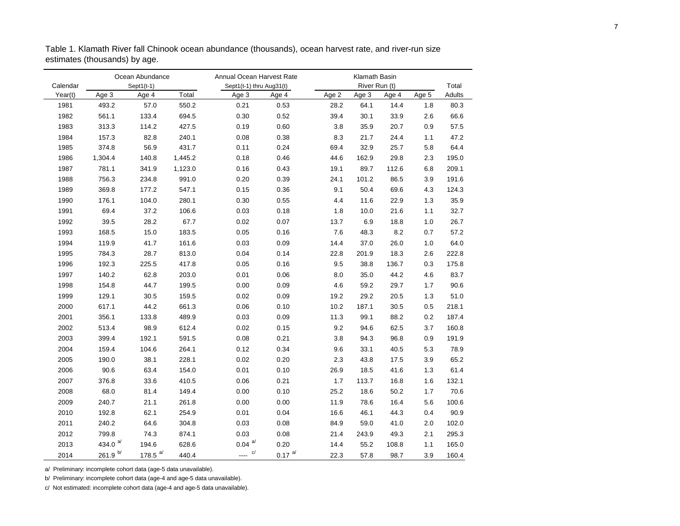|          |                     | Ocean Abundance |         | Annual Ocean Harvest Rate   |           | Klamath Basin |               |       |       |        |
|----------|---------------------|-----------------|---------|-----------------------------|-----------|---------------|---------------|-------|-------|--------|
| Calendar |                     | Sept1(t-1)      |         | Sept1(t-1) thru Aug31(t)    |           |               | River Run (t) |       |       | Total  |
| Year(t)  | Age 3               | Age 4           | Total   | Age 3                       | Age 4     | Age 2         | Age 3         | Age 4 | Age 5 | Adults |
| 1981     | 493.2               | 57.0            | 550.2   | 0.21                        | 0.53      | 28.2          | 64.1          | 14.4  | 1.8   | 80.3   |
| 1982     | 561.1               | 133.4           | 694.5   | 0.30                        | 0.52      | 39.4          | 30.1          | 33.9  | 2.6   | 66.6   |
| 1983     | 313.3               | 114.2           | 427.5   | 0.19                        | 0.60      | 3.8           | 35.9          | 20.7  | 0.9   | 57.5   |
| 1984     | 157.3               | 82.8            | 240.1   | 0.08                        | 0.38      | 8.3           | 21.7          | 24.4  | 1.1   | 47.2   |
| 1985     | 374.8               | 56.9            | 431.7   | 0.11                        | 0.24      | 69.4          | 32.9          | 25.7  | 5.8   | 64.4   |
| 1986     | 1,304.4             | 140.8           | 1,445.2 | 0.18                        | 0.46      | 44.6          | 162.9         | 29.8  | 2.3   | 195.0  |
| 1987     | 781.1               | 341.9           | 1,123.0 | 0.16                        | 0.43      | 19.1          | 89.7          | 112.6 | 6.8   | 209.1  |
| 1988     | 756.3               | 234.8           | 991.0   | 0.20                        | 0.39      | 24.1          | 101.2         | 86.5  | 3.9   | 191.6  |
| 1989     | 369.8               | 177.2           | 547.1   | 0.15                        | 0.36      | 9.1           | 50.4          | 69.6  | 4.3   | 124.3  |
| 1990     | 176.1               | 104.0           | 280.1   | 0.30                        | 0.55      | 4.4           | 11.6          | 22.9  | 1.3   | 35.9   |
| 1991     | 69.4                | 37.2            | 106.6   | 0.03                        | 0.18      | 1.8           | 10.0          | 21.6  | 1.1   | 32.7   |
| 1992     | 39.5                | 28.2            | 67.7    | 0.02                        | 0.07      | 13.7          | 6.9           | 18.8  | 1.0   | 26.7   |
| 1993     | 168.5               | 15.0            | 183.5   | 0.05                        | 0.16      | 7.6           | 48.3          | 8.2   | 0.7   | 57.2   |
| 1994     | 119.9               | 41.7            | 161.6   | 0.03                        | 0.09      | 14.4          | 37.0          | 26.0  | 1.0   | 64.0   |
| 1995     | 784.3               | 28.7            | 813.0   | 0.04                        | 0.14      | 22.8          | 201.9         | 18.3  | 2.6   | 222.8  |
| 1996     | 192.3               | 225.5           | 417.8   | 0.05                        | 0.16      | 9.5           | 38.8          | 136.7 | 0.3   | 175.8  |
| 1997     | 140.2               | 62.8            | 203.0   | 0.01                        | 0.06      | 8.0           | 35.0          | 44.2  | 4.6   | 83.7   |
| 1998     | 154.8               | 44.7            | 199.5   | 0.00                        | 0.09      | 4.6           | 59.2          | 29.7  | 1.7   | 90.6   |
| 1999     | 129.1               | 30.5            | 159.5   | 0.02                        | 0.09      | 19.2          | 29.2          | 20.5  | 1.3   | 51.0   |
| 2000     | 617.1               | 44.2            | 661.3   | 0.06                        | 0.10      | 10.2          | 187.1         | 30.5  | 0.5   | 218.1  |
| 2001     | 356.1               | 133.8           | 489.9   | 0.03                        | 0.09      | 11.3          | 99.1          | 88.2  | 0.2   | 187.4  |
| 2002     | 513.4               | 98.9            | 612.4   | 0.02                        | 0.15      | 9.2           | 94.6          | 62.5  | 3.7   | 160.8  |
| 2003     | 399.4               | 192.1           | 591.5   | 0.08                        | 0.21      | 3.8           | 94.3          | 96.8  | 0.9   | 191.9  |
| 2004     | 159.4               | 104.6           | 264.1   | 0.12                        | 0.34      | 9.6           | 33.1          | 40.5  | 5.3   | 78.9   |
| 2005     | 190.0               | 38.1            | 228.1   | 0.02                        | 0.20      | 2.3           | 43.8          | 17.5  | 3.9   | 65.2   |
| 2006     | 90.6                | 63.4            | 154.0   | 0.01                        | 0.10      | 26.9          | 18.5          | 41.6  | 1.3   | 61.4   |
| 2007     | 376.8               | 33.6            | 410.5   | 0.06                        | 0.21      | 1.7           | 113.7         | 16.8  | 1.6   | 132.1  |
| 2008     | 68.0                | 81.4            | 149.4   | 0.00                        | 0.10      | 25.2          | 18.6          | 50.2  | 1.7   | 70.6   |
| 2009     | 240.7               | 21.1            | 261.8   | 0.00                        | 0.00      | 11.9          | 78.6          | 16.4  | 5.6   | 100.6  |
| 2010     | 192.8               | 62.1            | 254.9   | 0.01                        | 0.04      | 16.6          | 46.1          | 44.3  | 0.4   | 90.9   |
| 2011     | 240.2               | 64.6            | 304.8   | 0.03                        | 0.08      | 84.9          | 59.0          | 41.0  | 2.0   | 102.0  |
| 2012     | 799.8               | 74.3            | 874.1   | 0.03                        | 0.08      | 21.4          | 243.9         | 49.3  | 2.1   | 295.3  |
| 2013     | 434.0 $a/$          | 194.6           | 628.6   | $0.04 \text{ }^{\text{a/}}$ | 0.20      | 14.4          | 55.2          | 108.8 | 1.1   | 165.0  |
| 2014     | 261.9 $\frac{b}{ }$ | 178.5 $a/$      | 440.4   | $\frac{c}{c}$               | $0.17$ a/ | 22.3          | 57.8          | 98.7  | 3.9   | 160.4  |

Table 1. Klamath River fall Chinook ocean abundance (thousands), ocean harvest rate, and river-run size estimates (thousands) by age.

a/ Preliminary: incomplete cohort data (age-5 data unavailable).

b/ Preliminary: incomplete cohort data (age-4 and age-5 data unavailable).

c/ Not estimated: incomplete cohort data (age-4 and age-5 data unavailable).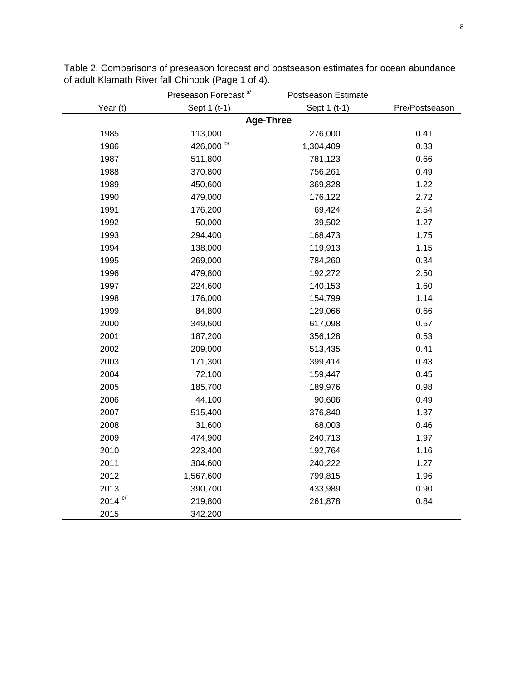|                | Preseason Forecast <sup>a/</sup> | Postseason Estimate |                |
|----------------|----------------------------------|---------------------|----------------|
| Year (t)       | Sept 1 (t-1)                     | Sept 1 (t-1)        | Pre/Postseason |
|                |                                  | <b>Age-Three</b>    |                |
| 1985           | 113,000                          | 276,000             | 0.41           |
| 1986           | 426,000 b/                       | 1,304,409           | 0.33           |
| 1987           | 511,800                          | 781,123             | 0.66           |
| 1988           | 370,800                          | 756,261             | 0.49           |
| 1989           | 450,600                          | 369,828             | 1.22           |
| 1990           | 479,000                          | 176,122             | 2.72           |
| 1991           | 176,200                          | 69,424              | 2.54           |
| 1992           | 50,000                           | 39,502              | 1.27           |
| 1993           | 294,400                          | 168,473             | 1.75           |
| 1994           | 138,000                          | 119,913             | 1.15           |
| 1995           | 269,000                          | 784,260             | 0.34           |
| 1996           | 479,800                          | 192,272             | 2.50           |
| 1997           | 224,600                          | 140,153             | 1.60           |
| 1998           | 176,000                          | 154,799             | 1.14           |
| 1999           | 84,800                           | 129,066             | 0.66           |
| 2000           | 349,600                          | 617,098             | 0.57           |
| 2001           | 187,200                          | 356,128             | 0.53           |
| 2002           | 209,000                          | 513,435             | 0.41           |
| 2003           | 171,300                          | 399,414             | 0.43           |
| 2004           | 72,100                           | 159,447             | 0.45           |
| 2005           | 185,700                          | 189,976             | 0.98           |
| 2006           | 44,100                           | 90,606              | 0.49           |
| 2007           | 515,400                          | 376,840             | 1.37           |
| 2008           | 31,600                           | 68,003              | 0.46           |
| 2009           | 474,900                          | 240,713             | 1.97           |
| 2010           | 223,400                          | 192,764             | 1.16           |
| 2011           | 304,600                          | 240,222             | 1.27           |
| 2012           | 1,567,600                        | 799,815             | 1.96           |
| 2013           | 390,700                          | 433,989             | 0.90           |
| 2014 $\degree$ | 219,800                          | 261,878             | 0.84           |
| 2015           | 342,200                          |                     |                |

Table 2. Comparisons of preseason forecast and postseason estimates for ocean abundance of adult Klamath River fall Chinook (Page 1 of 4).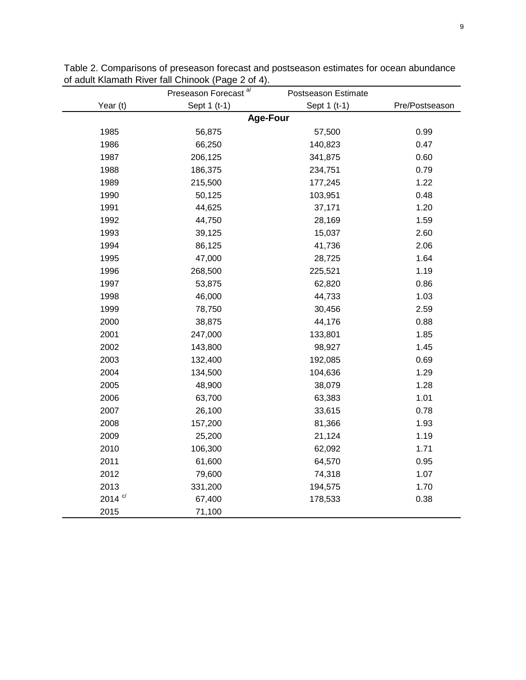| an abundanc |  |
|-------------|--|

|                | Preseason Forecast <sup>a/</sup> | Postseason Estimate |                |
|----------------|----------------------------------|---------------------|----------------|
| Year (t)       | Sept 1 (t-1)                     | Sept 1 (t-1)        | Pre/Postseason |
|                | <b>Age-Four</b>                  |                     |                |
| 1985           | 56,875                           | 57,500              | 0.99           |
| 1986           | 66,250                           | 140,823             | 0.47           |
| 1987           | 206,125                          | 341,875             | 0.60           |
| 1988           | 186,375                          | 234,751             | 0.79           |
| 1989           | 215,500                          | 177,245             | 1.22           |
| 1990           | 50,125                           | 103,951             | 0.48           |
| 1991           | 44,625                           | 37,171              | 1.20           |
| 1992           | 44,750                           | 28,169              | 1.59           |
| 1993           | 39,125                           | 15,037              | 2.60           |
| 1994           | 86,125                           | 41,736              | 2.06           |
| 1995           | 47,000                           | 28,725              | 1.64           |
| 1996           | 268,500                          | 225,521             | 1.19           |
| 1997           | 53,875                           | 62,820              | 0.86           |
| 1998           | 46,000                           | 44,733              | 1.03           |
| 1999           | 78,750                           | 30,456              | 2.59           |
| 2000           | 38,875                           | 44,176              | 0.88           |
| 2001           | 247,000                          | 133,801             | 1.85           |
| 2002           | 143,800                          | 98,927              | 1.45           |
| 2003           | 132,400                          | 192,085             | 0.69           |
| 2004           | 134,500                          | 104,636             | 1.29           |
| 2005           | 48,900                           | 38,079              | 1.28           |
| 2006           | 63,700                           | 63,383              | 1.01           |
| 2007           | 26,100                           | 33,615              | 0.78           |
| 2008           | 157,200                          | 81,366              | 1.93           |
| 2009           | 25,200                           | 21,124              | 1.19           |
| 2010           | 106,300                          | 62,092              | 1.71           |
| 2011           | 61,600                           | 64,570              | 0.95           |
| 2012           | 79,600                           | 74,318              | 1.07           |
| 2013           | 331,200                          | 194,575             | 1.70           |
| 2014 $\degree$ | 67,400                           | 178,533             | 0.38           |
| 2015           | 71,100                           |                     |                |

Table 2. Comparisons of preseason forecast and postseason estimates for ocean abundance of adult Klamath River fall Chinook (Page 2 of 4).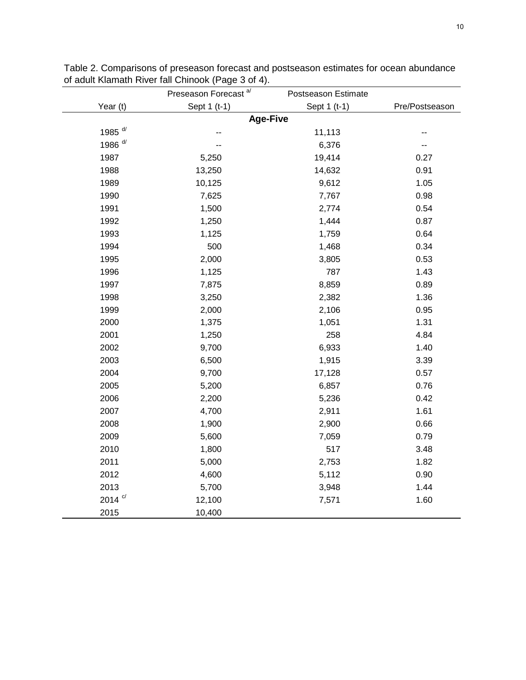|                    | Preseason Forecast <sup>a/</sup> | Postseason Estimate |                |
|--------------------|----------------------------------|---------------------|----------------|
| Year (t)           | Sept 1 (t-1)                     | Sept 1 (t-1)        | Pre/Postseason |
|                    | <b>Age-Five</b>                  |                     |                |
| 1985 <sup>d/</sup> | --                               | 11,113              |                |
| 1986 <sup>d/</sup> | --                               | 6,376               |                |
| 1987               | 5,250                            | 19,414              | 0.27           |
| 1988               | 13,250                           | 14,632              | 0.91           |
| 1989               | 10,125                           | 9,612               | 1.05           |
| 1990               | 7,625                            | 7,767               | 0.98           |
| 1991               | 1,500                            | 2,774               | 0.54           |
| 1992               | 1,250                            | 1,444               | 0.87           |
| 1993               | 1,125                            | 1,759               | 0.64           |
| 1994               | 500                              | 1,468               | 0.34           |
| 1995               | 2,000                            | 3,805               | 0.53           |
| 1996               | 1,125                            | 787                 | 1.43           |
| 1997               | 7,875                            | 8,859               | 0.89           |
| 1998               | 3,250                            | 2,382               | 1.36           |
| 1999               | 2,000                            | 2,106               | 0.95           |
| 2000               | 1,375                            | 1,051               | 1.31           |
| 2001               | 1,250                            | 258                 | 4.84           |
| 2002               | 9,700                            | 6,933               | 1.40           |
| 2003               | 6,500                            | 1,915               | 3.39           |
| 2004               | 9,700                            | 17,128              | 0.57           |
| 2005               | 5,200                            | 6,857               | 0.76           |
| 2006               | 2,200                            | 5,236               | 0.42           |
| 2007               | 4,700                            | 2,911               | 1.61           |
| 2008               | 1,900                            | 2,900               | 0.66           |
| 2009               | 5,600                            | 7,059               | 0.79           |
| 2010               | 1,800                            | 517                 | 3.48           |
| 2011               | 5,000                            | 2,753               | 1.82           |
| 2012               | 4,600                            | 5,112               | 0.90           |
| 2013               | 5,700                            | 3,948               | 1.44           |
| 2014 $\degree$     | 12,100                           | 7,571               | 1.60           |
| 2015               | 10,400                           |                     |                |

Table 2. Comparisons of preseason forecast and postseason estimates for ocean abundance of adult Klamath River fall Chinook (Page 3 of 4).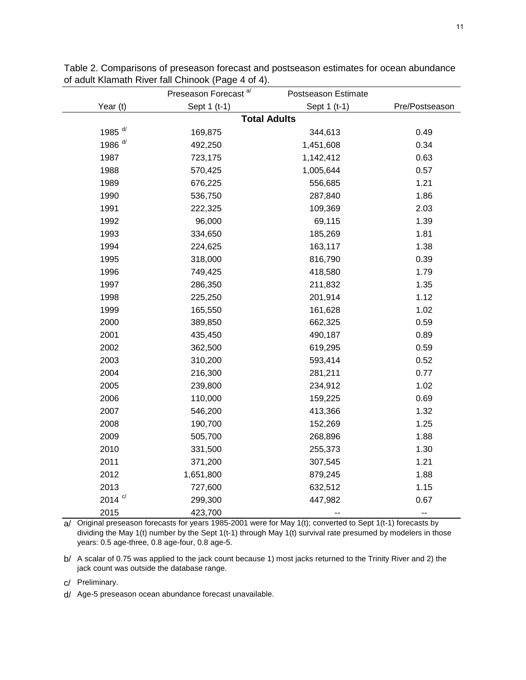|                    | Preseason Forecast <sup>a/</sup> | Postseason Estimate |                |
|--------------------|----------------------------------|---------------------|----------------|
| Year (t)           | Sept 1 (t-1)                     | Sept 1 (t-1)        | Pre/Postseason |
|                    | <b>Total Adults</b>              |                     |                |
| 1985 <sup>d/</sup> | 169,875                          | 344,613             | 0.49           |
| 1986 $d/$          | 492,250                          | 1,451,608           | 0.34           |
| 1987               | 723,175                          | 1,142,412           | 0.63           |
| 1988               | 570,425                          | 1,005,644           | 0.57           |
| 1989               | 676,225                          | 556,685             | 1.21           |
| 1990               | 536,750                          | 287,840             | 1.86           |
| 1991               | 222,325                          | 109,369             | 2.03           |
| 1992               | 96,000                           | 69,115              | 1.39           |
| 1993               | 334,650                          | 185,269             | 1.81           |
| 1994               | 224,625                          | 163,117             | 1.38           |
| 1995               | 318,000                          | 816,790             | 0.39           |
| 1996               | 749,425                          | 418,580             | 1.79           |
| 1997               | 286,350                          | 211,832             | 1.35           |
| 1998               | 225,250                          | 201,914             | 1.12           |
| 1999               | 165,550                          | 161,628             | 1.02           |
| 2000               | 389,850                          | 662,325             | 0.59           |
| 2001               | 435,450                          | 490,187             | 0.89           |
| 2002               | 362,500                          | 619,295             | 0.59           |
| 2003               | 310,200                          | 593,414             | 0.52           |
| 2004               | 216,300                          | 281,211             | 0.77           |
| 2005               | 239,800                          | 234,912             | 1.02           |
| 2006               | 110,000                          | 159,225             | 0.69           |
| 2007               | 546,200                          | 413,366             | 1.32           |
| 2008               | 190,700                          | 152,269             | 1.25           |
| 2009               | 505,700                          | 268,896             | 1.88           |
| 2010               | 331,500                          | 255,373             | 1.30           |
| 2011               | 371,200                          | 307,545             | 1.21           |
| 2012               | 1,651,800                        | 879,245             | 1.88           |
| 2013               | 727,600                          | 632,512             | 1.15           |
| 2014 $\degree$     | 299,300                          | 447,982             | 0.67           |
| 2015               | 423,700                          | --                  | --             |

Table 2. Comparisons of preseason forecast and postseason estimates for ocean abundance of adult Klamath River fall Chinook (Page 4 of 4).

a/ Original preseason forecasts for years 1985-2001 were for May 1(t); converted to Sept 1(t-1) forecasts by dividing the May 1(t) number by the Sept 1(t-1) through May 1(t) survival rate presumed by modelers in those years: 0.5 age-three, 0.8 age-four, 0.8 age-5.

b/ A scalar of 0.75 was applied to the jack count because 1) most jacks returned to the Trinity River and 2) the jack count was outside the database range.

c/ Preliminary.

d/ Age-5 preseason ocean abundance forecast unavailable.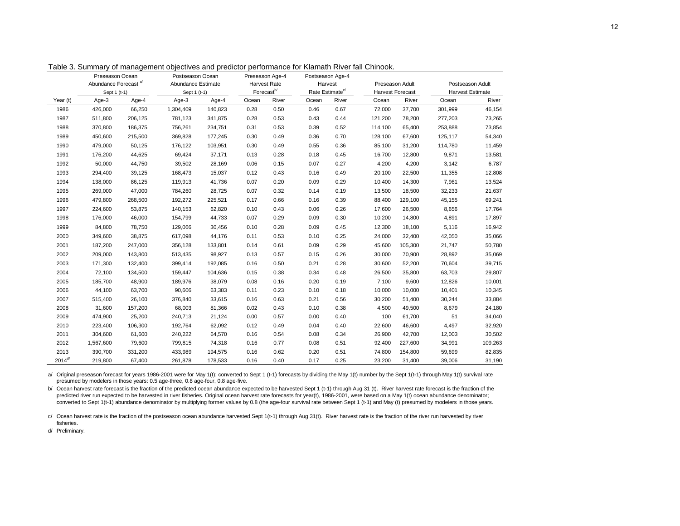|                   | Preseason Ocean                  |         | Postseason Ocean   |         | Preseason Age-4        |       | Postseason Age-4            |       |         |                         |                         |         |
|-------------------|----------------------------------|---------|--------------------|---------|------------------------|-------|-----------------------------|-------|---------|-------------------------|-------------------------|---------|
|                   | Abundance Forecast <sup>a/</sup> |         | Abundance Estimate |         | <b>Harvest Rate</b>    |       | Harvest                     |       |         | Preseason Adult         | Postseason Adult        |         |
|                   | Sept 1 (t-1)                     |         | Sept 1 (t-1)       |         | Forecast <sup>b/</sup> |       | Rate Estimate <sup>c/</sup> |       |         | <b>Harvest Forecast</b> | <b>Harvest Estimate</b> |         |
| Year (t)          | Age-3                            | Age-4   | Age-3              | Age-4   | Ocean                  | River | Ocean                       | River | Ocean   | River                   | Ocean                   | River   |
| 1986              | 426,000                          | 66,250  | 1,304,409          | 140,823 | 0.28                   | 0.50  | 0.46                        | 0.67  | 72,000  | 37,700                  | 301,999                 | 46,154  |
| 1987              | 511,800                          | 206,125 | 781,123            | 341,875 | 0.28                   | 0.53  | 0.43                        | 0.44  | 121,200 | 78,200                  | 277,203                 | 73,265  |
| 1988              | 370,800                          | 186,375 | 756,261            | 234,751 | 0.31                   | 0.53  | 0.39                        | 0.52  | 114,100 | 65,400                  | 253,888                 | 73,854  |
| 1989              | 450,600                          | 215,500 | 369,828            | 177,245 | 0.30                   | 0.49  | 0.36                        | 0.70  | 128,100 | 67,600                  | 125,117                 | 54,340  |
| 1990              | 479,000                          | 50,125  | 176,122            | 103,951 | 0.30                   | 0.49  | 0.55                        | 0.36  | 85,100  | 31,200                  | 114,780                 | 11,459  |
| 1991              | 176,200                          | 44,625  | 69,424             | 37,171  | 0.13                   | 0.28  | 0.18                        | 0.45  | 16,700  | 12,800                  | 9,871                   | 13,581  |
| 1992              | 50,000                           | 44,750  | 39,502             | 28,169  | 0.06                   | 0.15  | 0.07                        | 0.27  | 4,200   | 4,200                   | 3,142                   | 6,787   |
| 1993              | 294,400                          | 39,125  | 168,473            | 15,037  | 0.12                   | 0.43  | 0.16                        | 0.49  | 20,100  | 22,500                  | 11,355                  | 12,808  |
| 1994              | 138,000                          | 86,125  | 119,913            | 41,736  | 0.07                   | 0.20  | 0.09                        | 0.29  | 10,400  | 14,300                  | 7,961                   | 13,524  |
| 1995              | 269,000                          | 47,000  | 784,260            | 28,725  | 0.07                   | 0.32  | 0.14                        | 0.19  | 13,500  | 18,500                  | 32,233                  | 21,637  |
| 1996              | 479,800                          | 268,500 | 192,272            | 225,521 | 0.17                   | 0.66  | 0.16                        | 0.39  | 88,400  | 129,100                 | 45,155                  | 69,241  |
| 1997              | 224,600                          | 53,875  | 140,153            | 62,820  | 0.10                   | 0.43  | 0.06                        | 0.26  | 17,600  | 26,500                  | 8,656                   | 17,764  |
| 1998              | 176,000                          | 46,000  | 154,799            | 44,733  | 0.07                   | 0.29  | 0.09                        | 0.30  | 10,200  | 14,800                  | 4,891                   | 17,897  |
| 1999              | 84,800                           | 78,750  | 129,066            | 30,456  | 0.10                   | 0.28  | 0.09                        | 0.45  | 12,300  | 18,100                  | 5,116                   | 16,942  |
| 2000              | 349,600                          | 38,875  | 617,098            | 44,176  | 0.11                   | 0.53  | 0.10                        | 0.25  | 24,000  | 32,400                  | 42,050                  | 35,066  |
| 2001              | 187,200                          | 247,000 | 356,128            | 133,801 | 0.14                   | 0.61  | 0.09                        | 0.29  | 45,600  | 105,300                 | 21,747                  | 50,780  |
| 2002              | 209,000                          | 143,800 | 513,435            | 98,927  | 0.13                   | 0.57  | 0.15                        | 0.26  | 30,000  | 70,900                  | 28,892                  | 35,069  |
| 2003              | 171,300                          | 132,400 | 399,414            | 192,085 | 0.16                   | 0.50  | 0.21                        | 0.28  | 30,600  | 52,200                  | 70,604                  | 39,715  |
| 2004              | 72,100                           | 134,500 | 159,447            | 104,636 | 0.15                   | 0.38  | 0.34                        | 0.48  | 26,500  | 35,800                  | 63,703                  | 29,807  |
| 2005              | 185,700                          | 48,900  | 189,976            | 38,079  | 0.08                   | 0.16  | 0.20                        | 0.19  | 7,100   | 9,600                   | 12,826                  | 10,001  |
| 2006              | 44,100                           | 63,700  | 90,606             | 63,383  | 0.11                   | 0.23  | 0.10                        | 0.18  | 10,000  | 10,000                  | 10,401                  | 10,345  |
| 2007              | 515,400                          | 26,100  | 376,840            | 33,615  | 0.16                   | 0.63  | 0.21                        | 0.56  | 30,200  | 51,400                  | 30,244                  | 33,884  |
| 2008              | 31,600                           | 157,200 | 68,003             | 81,366  | 0.02                   | 0.43  | 0.10                        | 0.38  | 4,500   | 49,500                  | 8,679                   | 24,180  |
| 2009              | 474,900                          | 25,200  | 240,713            | 21,124  | 0.00                   | 0.57  | 0.00                        | 0.40  | 100     | 61,700                  | 51                      | 34,040  |
| 2010              | 223,400                          | 106,300 | 192,764            | 62,092  | 0.12                   | 0.49  | 0.04                        | 0.40  | 22,600  | 46,600                  | 4,497                   | 32,920  |
| 2011              | 304,600                          | 61,600  | 240,222            | 64,570  | 0.16                   | 0.54  | 0.08                        | 0.34  | 26,900  | 42,700                  | 12,003                  | 30,502  |
| 2012              | 1,567,600                        | 79,600  | 799,815            | 74,318  | 0.16                   | 0.77  | 0.08                        | 0.51  | 92,400  | 227,600                 | 34,991                  | 109,263 |
| 2013              | 390.700                          | 331,200 | 433,989            | 194,575 | 0.16                   | 0.62  | 0.20                        | 0.51  | 74,800  | 154,800                 | 59,699                  | 82,835  |
| 2014 <sup>d</sup> | 219.800                          | 67.400  | 261,878            | 178,533 | 0.16                   | 0.40  | 0.17                        | 0.25  | 23,200  | 31.400                  | 39.006                  | 31,190  |

Table 3. Summary of management objectives and predictor performance for Klamath River fall Chinook.

a/ Original preseason forecast for years 1986-2001 were for May 1(t); converted to Sept 1 (t-1) forecasts by dividing the May 1(t) number by the Sept 1(t-1) through May 1(t) survival rate presumed by modelers in those years: 0.5 age-three, 0.8 age-four, 0.8 age-five.

b/ Ocean harvest rate forecast is the fraction of the predicted ocean abundance expected to be harvested Sept 1 (t-1) through Aug 31 (t). River harvest rate forecast is the fraction of the predicted river run expected to be harvested in river fisheries. Original ocean harvest rate forecasts for year(t), 1986-2001, were based on a May 1(t) ocean abundance denominator; converted to Sept 1(t-1) abundance denominator by multiplying former values by 0.8 (the age-four survival rate between Sept 1 (t-1) and May (t) presumed by modelers in those years.

c/ Ocean harvest rate is the fraction of the postseason ocean abundance harvested Sept 1(t-1) through Aug 31(t). River harvest rate is the fraction of the river run harvested by river fisheries.

d/ Preliminary.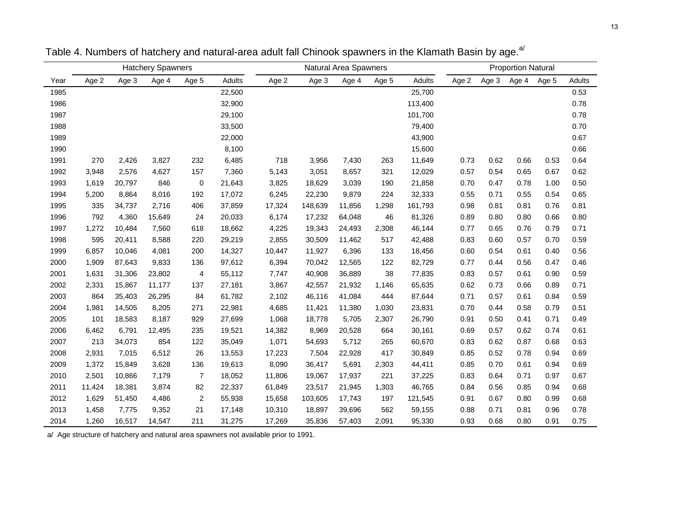|      |        |        | <b>Hatchery Spawners</b> |                          |        | <b>Proportion Natural</b><br>Natural Area Spawners |         |        |       |         |       |       |       |       |        |
|------|--------|--------|--------------------------|--------------------------|--------|----------------------------------------------------|---------|--------|-------|---------|-------|-------|-------|-------|--------|
| Year | Age 2  | Age 3  | Age 4                    | Age 5                    | Adults | Age 2                                              | Age 3   | Age 4  | Age 5 | Adults  | Age 2 | Age 3 | Age 4 | Age 5 | Adults |
| 1985 |        |        |                          |                          | 22,500 |                                                    |         |        |       | 25,700  |       |       |       |       | 0.53   |
| 1986 |        |        |                          |                          | 32,900 |                                                    |         |        |       | 113,400 |       |       |       |       | 0.78   |
| 1987 |        |        |                          |                          | 29,100 |                                                    |         |        |       | 101,700 |       |       |       |       | 0.78   |
| 1988 |        |        |                          |                          | 33,500 |                                                    |         |        |       | 79,400  |       |       |       |       | 0.70   |
| 1989 |        |        |                          |                          | 22,000 |                                                    |         |        |       | 43,900  |       |       |       |       | 0.67   |
| 1990 |        |        |                          |                          | 8,100  |                                                    |         |        |       | 15,600  |       |       |       |       | 0.66   |
| 1991 | 270    | 2,426  | 3,827                    | 232                      | 6,485  | 718                                                | 3,956   | 7,430  | 263   | 11,649  | 0.73  | 0.62  | 0.66  | 0.53  | 0.64   |
| 1992 | 3,948  | 2,576  | 4,627                    | 157                      | 7,360  | 5,143                                              | 3,051   | 8,657  | 321   | 12,029  | 0.57  | 0.54  | 0.65  | 0.67  | 0.62   |
| 1993 | 1,619  | 20,797 | 846                      | $\mathbf 0$              | 21,643 | 3,825                                              | 18,629  | 3,039  | 190   | 21,858  | 0.70  | 0.47  | 0.78  | 1.00  | 0.50   |
| 1994 | 5,200  | 8,864  | 8,016                    | 192                      | 17,072 | 6,245                                              | 22,230  | 9,879  | 224   | 32,333  | 0.55  | 0.71  | 0.55  | 0.54  | 0.65   |
| 1995 | 335    | 34,737 | 2,716                    | 406                      | 37,859 | 17,324                                             | 148,639 | 11,856 | 1,298 | 161,793 | 0.98  | 0.81  | 0.81  | 0.76  | 0.81   |
| 1996 | 792    | 4,360  | 15,649                   | 24                       | 20,033 | 6,174                                              | 17,232  | 64,048 | 46    | 81,326  | 0.89  | 0.80  | 0.80  | 0.66  | 0.80   |
| 1997 | 1,272  | 10,484 | 7,560                    | 618                      | 18,662 | 4,225                                              | 19,343  | 24,493 | 2,308 | 46,144  | 0.77  | 0.65  | 0.76  | 0.79  | 0.71   |
| 1998 | 595    | 20,411 | 8,588                    | 220                      | 29,219 | 2,855                                              | 30,509  | 11,462 | 517   | 42,488  | 0.83  | 0.60  | 0.57  | 0.70  | 0.59   |
| 1999 | 6,857  | 10,046 | 4,081                    | 200                      | 14,327 | 10,447                                             | 11,927  | 6,396  | 133   | 18,456  | 0.60  | 0.54  | 0.61  | 0.40  | 0.56   |
| 2000 | 1,909  | 87,643 | 9,833                    | 136                      | 97,612 | 6,394                                              | 70,042  | 12,565 | 122   | 82,729  | 0.77  | 0.44  | 0.56  | 0.47  | 0.46   |
| 2001 | 1,631  | 31,306 | 23,802                   | $\overline{\mathcal{A}}$ | 55,112 | 7,747                                              | 40,908  | 36,889 | 38    | 77,835  | 0.83  | 0.57  | 0.61  | 0.90  | 0.59   |
| 2002 | 2,331  | 15,867 | 11,177                   | 137                      | 27,181 | 3,867                                              | 42,557  | 21,932 | 1,146 | 65,635  | 0.62  | 0.73  | 0.66  | 0.89  | 0.71   |
| 2003 | 864    | 35,403 | 26,295                   | 84                       | 61,782 | 2,102                                              | 46,116  | 41,084 | 444   | 87,644  | 0.71  | 0.57  | 0.61  | 0.84  | 0.59   |
| 2004 | 1,981  | 14,505 | 8,205                    | 271                      | 22,981 | 4,685                                              | 11,421  | 11,380 | 1,030 | 23,831  | 0.70  | 0.44  | 0.58  | 0.79  | 0.51   |
| 2005 | 101    | 18,583 | 8,187                    | 929                      | 27,699 | 1,068                                              | 18,778  | 5,705  | 2,307 | 26,790  | 0.91  | 0.50  | 0.41  | 0.71  | 0.49   |
| 2006 | 6,462  | 6,791  | 12,495                   | 235                      | 19,521 | 14,382                                             | 8,969   | 20,528 | 664   | 30,161  | 0.69  | 0.57  | 0.62  | 0.74  | 0.61   |
| 2007 | 213    | 34,073 | 854                      | 122                      | 35,049 | 1,071                                              | 54,693  | 5,712  | 265   | 60,670  | 0.83  | 0.62  | 0.87  | 0.68  | 0.63   |
| 2008 | 2,931  | 7,015  | 6,512                    | 26                       | 13,553 | 17,223                                             | 7,504   | 22,928 | 417   | 30,849  | 0.85  | 0.52  | 0.78  | 0.94  | 0.69   |
| 2009 | 1,372  | 15,849 | 3,628                    | 136                      | 19,613 | 8,090                                              | 36,417  | 5,691  | 2,303 | 44,411  | 0.85  | 0.70  | 0.61  | 0.94  | 0.69   |
| 2010 | 2,501  | 10,866 | 7,179                    | $\overline{7}$           | 18,052 | 11,806                                             | 19,067  | 17,937 | 221   | 37,225  | 0.83  | 0.64  | 0.71  | 0.97  | 0.67   |
| 2011 | 11,424 | 18,381 | 3,874                    | 82                       | 22,337 | 61,849                                             | 23,517  | 21,945 | 1,303 | 46,765  | 0.84  | 0.56  | 0.85  | 0.94  | 0.68   |
| 2012 | 1,629  | 51,450 | 4,486                    | 2                        | 55,938 | 15,658                                             | 103,605 | 17,743 | 197   | 121,545 | 0.91  | 0.67  | 0.80  | 0.99  | 0.68   |
| 2013 | 1,458  | 7,775  | 9,352                    | 21                       | 17,148 | 10,310                                             | 18,897  | 39,696 | 562   | 59,155  | 0.88  | 0.71  | 0.81  | 0.96  | 0.78   |
| 2014 | 1,260  | 16,517 | 14,547                   | 211                      | 31,275 | 17,269                                             | 35,836  | 57,403 | 2,091 | 95,330  | 0.93  | 0.68  | 0.80  | 0.91  | 0.75   |

Table 4. Numbers of hatchery and natural-area adult fall Chinook spawners in the Klamath Basin by age.<sup>a/</sup>

a/ Age structure of hatchery and natural area spawners not available prior to 1991.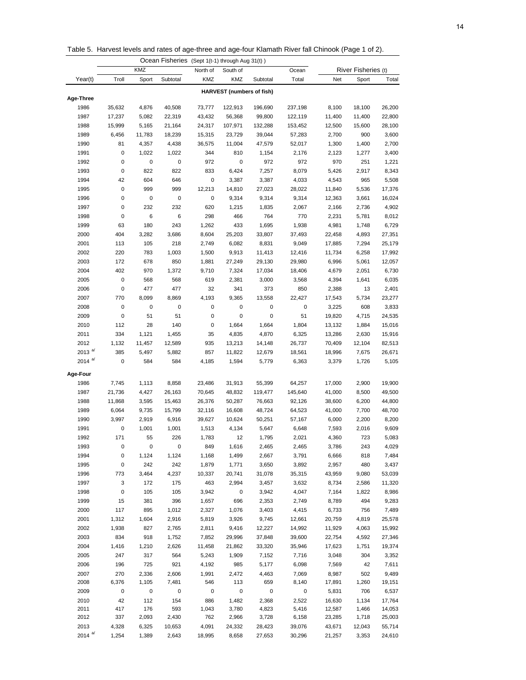Table 5. Harvest levels and rates of age-three and age-four Klamath River fall Chinook (Page 1 of 2).

|                    |           |        | Ocean Fisheries (Sept 1(t-1) through Aug 31(t)) |          |                                  |           |           |        |                     |        |
|--------------------|-----------|--------|-------------------------------------------------|----------|----------------------------------|-----------|-----------|--------|---------------------|--------|
|                    |           | KMZ    |                                                 | North of | South of                         |           | Ocean     |        | River Fisheries (t) |        |
| Year(t)            | Troll     | Sport  | Subtotal                                        | KMZ      | KMZ                              | Subtotal  | Total     | Net    | Sport               | Total  |
|                    |           |        |                                                 |          | <b>HARVEST</b> (numbers of fish) |           |           |        |                     |        |
| Age-Three          |           |        |                                                 |          |                                  |           |           |        |                     |        |
| 1986               | 35,632    | 4,876  | 40,508                                          | 73,777   | 122,913                          | 196,690   | 237,198   | 8,100  | 18,100              | 26,200 |
| 1987               | 17,237    | 5,082  | 22,319                                          | 43,432   | 56,368                           | 99,800    | 122,119   | 11,400 | 11,400              | 22,800 |
| 1988               | 15,999    | 5,165  | 21,164                                          | 24,317   | 107,971                          | 132,288   | 153,452   | 12,500 | 15,600              | 28,100 |
| 1989               | 6,456     | 11,783 | 18,239                                          | 15,315   | 23,729                           | 39,044    | 57,283    | 2,700  | 900                 | 3,600  |
| 1990               | 81        | 4,357  | 4,438                                           | 36,575   | 11,004                           | 47,579    | 52,017    | 1,300  | 1,400               | 2,700  |
| 1991               | 0         | 1,022  | 1,022                                           | 344      | 810                              | 1,154     | 2,176     | 2,123  | 1,277               | 3,400  |
| 1992               | 0         | 0      | $\pmb{0}$                                       | 972      | $\pmb{0}$                        | 972       | 972       | 970    | 251                 | 1,221  |
| 1993               | 0         | 822    | 822                                             | 833      | 6,424                            | 7,257     | 8,079     | 5,426  | 2,917               | 8,343  |
| 1994               | 42        | 604    | 646                                             | 0        | 3,387                            | 3,387     | 4,033     | 4,543  | 965                 | 5,508  |
| 1995               | 0         | 999    | 999                                             | 12,213   | 14,810                           | 27,023    | 28,022    | 11,840 | 5,536               | 17,376 |
| 1996               | 0         | 0      | $\pmb{0}$                                       | 0        | 9,314                            | 9,314     | 9,314     | 12,363 | 3,661               | 16,024 |
| 1997               | 0         | 232    | 232                                             | 620      | 1,215                            | 1,835     | 2,067     | 2,166  | 2,736               | 4,902  |
| 1998               | 0         | 6      | 6                                               | 298      | 466                              | 764       | 770       | 2,231  | 5,781               | 8,012  |
| 1999               | 63        | 180    | 243                                             | 1,262    | 433                              | 1,695     | 1,938     | 4,981  | 1,748               | 6,729  |
| 2000               | 404       | 3,282  | 3,686                                           | 8,604    | 25,203                           | 33,807    | 37,493    | 22,458 | 4,893               | 27,351 |
| 2001               | 113       | 105    | 218                                             | 2,749    | 6,082                            | 8,831     | 9,049     | 17,885 | 7,294               | 25,179 |
| 2002               | 220       | 783    | 1,003                                           | 1,500    | 9,913                            | 11,413    | 12,416    | 11,734 | 6,258               | 17,992 |
| 2003               | 172       | 678    | 850                                             | 1,881    | 27,249                           | 29,130    | 29,980    | 6,996  | 5,061               | 12,057 |
| 2004               | 402       | 970    | 1,372                                           | 9,710    | 7,324                            | 17,034    | 18,406    | 4,679  | 2,051               | 6,730  |
| 2005               | 0         | 568    | 568                                             | 619      | 2,381                            | 3,000     | 3,568     | 4,394  | 1,641               | 6,035  |
| 2006               | 0         | 477    | 477                                             | 32       | 341                              | 373       | 850       | 2,388  | 13                  | 2,401  |
| 2007               | 770       | 8,099  | 8,869                                           | 4,193    | 9,365                            | 13,558    | 22,427    | 17,543 | 5,734               | 23,277 |
| 2008               | 0         | 0      | 0                                               | 0        | $\pmb{0}$                        | 0         | 0         | 3,225  | 608                 | 3,833  |
| 2009               | 0         | 51     | 51                                              | 0        | 0                                | 0         | 51        | 19,820 | 4,715               | 24,535 |
| 2010               | 112       | 28     | 140                                             | 0        | 1,664                            | 1,664     | 1,804     | 13,132 | 1,884               | 15,016 |
| 2011               | 334       | 1,121  | 1,455                                           | 35       | 4,835                            | 4,870     | 6,325     | 13,286 | 2,630               | 15,916 |
| 2012               | 1,132     | 11,457 | 12,589                                          | 935      | 13,213                           | 14,148    | 26,737    | 70,409 | 12,104              | 82,513 |
| 2013 $a/d$         | 385       | 5,497  | 5,882                                           | 857      | 11,822                           | 12,679    | 18,561    | 18,996 | 7,675               | 26,671 |
| 2014 $a/d$         | 0         | 584    | 584                                             | 4,185    | 1,594                            | 5,779     | 6,363     | 3,379  | 1,726               | 5,105  |
| Age-Four           |           |        |                                                 |          |                                  |           |           |        |                     |        |
| 1986               | 7,745     | 1,113  | 8,858                                           | 23,486   | 31,913                           | 55,399    | 64,257    | 17,000 | 2,900               | 19,900 |
| 1987               | 21,736    | 4,427  | 26,163                                          | 70,645   | 48,832                           | 119,477   | 145,640   | 41,000 | 8,500               | 49,500 |
| 1988               | 11,868    | 3,595  | 15,463                                          | 26,376   | 50,287                           | 76,663    | 92,126    | 38,600 | 6,200               | 44,800 |
| 1989               | 6,064     | 9,735  | 15,799                                          | 32,116   | 16,608                           | 48,724    | 64,523    | 41,000 | 7,700               | 48,700 |
| 1990               | 3,997     | 2,919  | 6,916                                           | 39,627   | 10,624                           | 50,251    | 57,167    | 6,000  | 2,200               | 8,200  |
| 1991               | 0         | 1,001  | 1,001                                           | 1,513    | 4,134                            | 5,647     | 6,648     | 7,593  | 2,016               | 9,609  |
| 1992               | 171       | 55     | 226                                             | 1,783    | 12                               | 1,795     | 2,021     | 4,360  | 723                 | 5,083  |
| 1993               | 0         | 0      | 0                                               | 849      | 1,616                            | 2,465     | 2,465     | 3,786  | 243                 | 4,029  |
| 1994               | 0         | 1,124  | 1,124                                           | 1,168    | 1,499                            | 2,667     | 3,791     | 6,666  | 818                 | 7,484  |
| 1995               | $\pmb{0}$ | 242    | 242                                             | 1,879    | 1,771                            | 3,650     | 3,892     | 2,957  | 480                 | 3,437  |
| 1996               | 773       | 3,464  | 4,237                                           | 10,337   | 20,741                           | 31,078    | 35,315    | 43,959 | 9,080               | 53,039 |
| 1997               | 3         | 172    | 175                                             | 463      | 2,994                            | 3,457     | 3,632     | 8,734  | 2,586               | 11,320 |
| 1998               | $\pmb{0}$ | 105    | 105                                             | 3,942    | $\pmb{0}$                        | 3,942     | 4,047     | 7,164  | 1,822               | 8,986  |
| 1999               | 15        | 381    | 396                                             | 1,657    | 696                              | 2,353     | 2,749     | 8,789  | 494                 | 9,283  |
| 2000               | 117       | 895    | 1,012                                           | 2,327    | 1,076                            | 3,403     | 4,415     | 6,733  | 756                 | 7,489  |
| 2001               | 1,312     | 1,604  | 2,916                                           | 5,819    | 3,926                            | 9,745     | 12,661    | 20,759 | 4,819               | 25,578 |
| 2002               | 1,938     | 827    | 2,765                                           | 2,811    | 9,416                            | 12,227    | 14,992    | 11,929 | 4,063               | 15,992 |
| 2003               | 834       | 918    | 1,752                                           | 7,852    | 29,996                           | 37,848    | 39,600    | 22,754 | 4,592               | 27,346 |
| 2004               | 1,416     | 1,210  | 2,626                                           | 11,458   | 21,862                           | 33,320    | 35,946    | 17,623 | 1,751               | 19,374 |
| 2005               | 247       | 317    | 564                                             | 5,243    | 1,909                            | 7,152     | 7,716     | 3,048  | 304                 | 3,352  |
| 2006               | 196       | 725    | 921                                             | 4,192    | 985                              | 5,177     | 6,098     | 7,569  | 42                  | 7,611  |
| 2007               | 270       | 2,336  | 2,606                                           | 1,991    | 2,472                            | 4,463     | 7,069     | 8,987  | 502                 | 9,489  |
| 2008               | 6,376     | 1,105  | 7,481                                           | 546      | 113                              | 659       | 8,140     | 17,891 | 1,260               | 19,151 |
| 2009               | $\pmb{0}$ | 0      | 0                                               | 0        | $\pmb{0}$                        | $\pmb{0}$ | $\pmb{0}$ | 5,831  | 706                 | 6,537  |
| 2010               | 42        | 112    | 154                                             | 886      | 1,482                            | 2,368     | 2,522     | 16,630 | 1,134               | 17,764 |
| 2011               | 417       | 176    | 593                                             | 1,043    | 3,780                            | 4,823     | 5,416     | 12,587 | 1,466               | 14,053 |
| 2012               | 337       | 2,093  | 2,430                                           | 762      | 2,966                            | 3,728     | 6,158     | 23,285 | 1,718               | 25,003 |
| 2013<br>2014 $a/d$ | 4,328     | 6,325  | 10,653                                          | 4,091    | 24,332                           | 28,423    | 39,076    | 43,671 | 12,043              | 55,714 |
|                    | 1,254     | 1,389  | 2,643                                           | 18,995   | 8,658                            | 27,653    | 30,296    | 21,257 | 3,353               | 24,610 |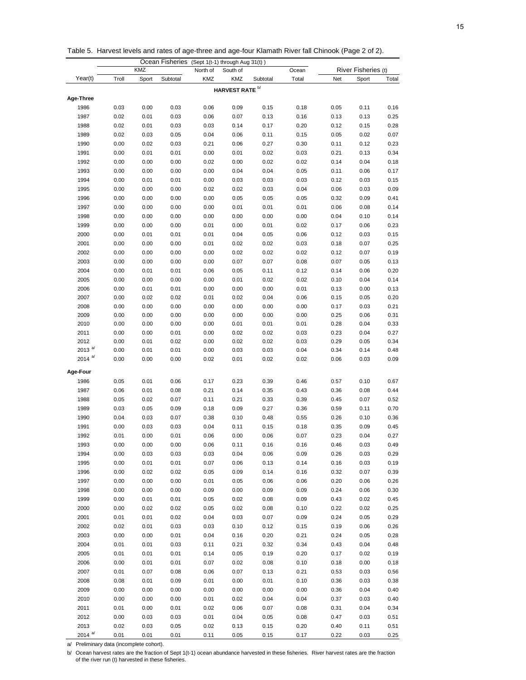Table 5. Harvest levels and rates of age-three and age-four Klamath River fall Chinook (Page 2 of 2).

|              |              |       | Ocean Fisheries | $(Sept 1(t-1)$ through Aug $31(t)$ ) |                            |              |       |              |                     |              |
|--------------|--------------|-------|-----------------|--------------------------------------|----------------------------|--------------|-------|--------------|---------------------|--------------|
|              |              | KMZ   |                 | North of                             | South of                   |              | Ocean |              | River Fisheries (t) |              |
| Year(t)      | Troll        | Sport | Subtotal        | KMZ                                  | <b>KMZ</b>                 | Subtotal     | Total | Net          | Sport               | Total        |
|              |              |       |                 |                                      | HARVEST RATE <sup>b/</sup> |              |       |              |                     |              |
| Age-Three    |              |       |                 |                                      |                            |              |       |              |                     |              |
| 1986         | 0.03         | 0.00  | 0.03            | 0.06                                 | 0.09                       | 0.15         | 0.18  | 0.05         | 0.11                | 0.16         |
| 1987         | 0.02         | 0.01  | 0.03            | 0.06                                 | 0.07                       | 0.13         | 0.16  | 0.13         | 0.13                | 0.25         |
| 1988         | 0.02         | 0.01  | 0.03            | 0.03                                 | 0.14                       | 0.17         | 0.20  | 0.12         | 0.15                | 0.28         |
| 1989         | 0.02         | 0.03  | 0.05            | 0.04                                 | 0.06                       | 0.11         | 0.15  | 0.05         | 0.02                | 0.07         |
| 1990         | 0.00         | 0.02  | 0.03            | 0.21                                 | 0.06                       | 0.27         | 0.30  | 0.11         | 0.12                | 0.23         |
| 1991         | 0.00         | 0.01  | 0.01            | 0.00                                 | 0.01                       | 0.02         | 0.03  | 0.21         | 0.13                | 0.34         |
| 1992         | 0.00         | 0.00  | 0.00            | 0.02                                 | 0.00                       | 0.02         | 0.02  | 0.14         | 0.04                | 0.18         |
| 1993         | 0.00         | 0.00  | 0.00            | 0.00                                 | 0.04                       | 0.04         | 0.05  | 0.11         | 0.06                | 0.17         |
| 1994         | 0.00         | 0.01  | 0.01            | 0.00                                 | 0.03                       | 0.03         | 0.03  | 0.12         | 0.03                | 0.15         |
| 1995         | 0.00         | 0.00  | 0.00            | 0.02                                 | 0.02                       | 0.03         | 0.04  | 0.06         | 0.03                | 0.09         |
| 1996         | 0.00         | 0.00  | 0.00            | 0.00                                 | 0.05                       | 0.05         | 0.05  | 0.32         | 0.09                | 0.41         |
| 1997         | 0.00         | 0.00  | 0.00            | 0.00                                 | 0.01                       | 0.01         | 0.01  | 0.06         | 0.08                | 0.14         |
| 1998         | 0.00         | 0.00  | 0.00            | 0.00                                 | 0.00                       | 0.00         | 0.00  | 0.04         | 0.10                | 0.14         |
| 1999         | 0.00         | 0.00  | 0.00            | 0.01                                 | 0.00                       | 0.01         | 0.02  | 0.17         | 0.06                | 0.23         |
| 2000         | 0.00         | 0.01  | 0.01            | 0.01                                 | 0.04                       | 0.05         | 0.06  | 0.12         | 0.03                | 0.15         |
| 2001         | 0.00         | 0.00  | 0.00            | 0.01                                 | 0.02                       | 0.02         | 0.03  | 0.18         | 0.07                | 0.25         |
| 2002         | 0.00         | 0.00  | 0.00            | 0.00                                 | 0.02                       | 0.02         | 0.02  | 0.12         | 0.07                | 0.19         |
| 2003         | 0.00         | 0.00  | 0.00            | 0.00                                 | 0.07                       | 0.07         | 0.08  | 0.07         | 0.05                | 0.13         |
| 2004         | 0.00         | 0.01  | 0.01            | 0.06                                 | 0.05                       | 0.11         | 0.12  | 0.14         | 0.06                | 0.20         |
| 2005         | 0.00         | 0.00  | 0.00            | 0.00                                 | 0.01                       | 0.02         | 0.02  | 0.10         | 0.04                | 0.14         |
| 2006         | 0.00         | 0.01  | 0.01            | 0.00                                 | 0.00                       | 0.00         | 0.01  | 0.13         | 0.00                | 0.13         |
| 2007         | 0.00         | 0.02  | 0.02            | 0.01                                 | 0.02                       | 0.04         | 0.06  | 0.15         | 0.05                | 0.20         |
| 2008         | 0.00         | 0.00  | 0.00            | 0.00                                 | 0.00                       | 0.00         | 0.00  | 0.17         | 0.03                | 0.21         |
| 2009         | 0.00         | 0.00  | 0.00            | 0.00                                 | 0.00                       | 0.00         | 0.00  | 0.25         | 0.06                | 0.31         |
| 2010         | 0.00         | 0.00  | 0.00            | 0.00                                 | 0.01                       | 0.01         | 0.01  | 0.28         | 0.04                | 0.33         |
| 2011         | 0.00         | 0.00  | 0.01            | 0.00                                 | 0.02                       | 0.02         | 0.03  | 0.23         | 0.04                | 0.27         |
| 2012         | 0.00         | 0.01  | 0.02            | 0.00                                 | 0.02                       | 0.02         | 0.03  | 0.29         | 0.05                | 0.34         |
| 2013 $a/$    | 0.00         | 0.01  | 0.01            | 0.00                                 | 0.03                       | 0.03         | 0.04  | 0.34         | 0.14                | 0.48         |
| 2014 $a/d$   | 0.00         | 0.00  | 0.00            | 0.02                                 | 0.01                       | 0.02         | 0.02  | 0.06         | 0.03                | 0.09         |
| Age-Four     |              |       |                 |                                      |                            |              |       |              |                     |              |
| 1986         | 0.05         | 0.01  | 0.06            | 0.17                                 | 0.23                       | 0.39         | 0.46  | 0.57         | 0.10                | 0.67         |
| 1987         | 0.06         | 0.01  | 0.08            | 0.21                                 | 0.14                       | 0.35         | 0.43  | 0.36         | 0.08                | 0.44         |
| 1988         | 0.05         | 0.02  | 0.07            | 0.11                                 | 0.21                       | 0.33         | 0.39  | 0.45         | 0.07                | 0.52         |
| 1989         | 0.03         | 0.05  | 0.09            | 0.18                                 | 0.09                       | 0.27         | 0.36  | 0.59         | 0.11                | 0.70         |
| 1990         | 0.04         | 0.03  | 0.07            | 0.38                                 | 0.10                       | 0.48         | 0.55  | 0.26         | 0.10                | 0.36         |
| 1991         | 0.00         | 0.03  | 0.03            | 0.04                                 | 0.11                       | 0.15         | 0.18  | 0.35         | 0.09                | 0.45         |
| 1992         | 0.01         | 0.00  | 0.01            | 0.06                                 | 0.00                       | 0.06         | 0.07  | 0.23         | 0.04                | 0.27         |
| 1993         | 0.00         | 0.00  | 0.00            | 0.06                                 | 0.11                       | 0.16         | 0.16  | 0.46         | 0.03                | 0.49         |
| 1994         | 0.00         | 0.03  | 0.03            | 0.03                                 | 0.04                       | 0.06         | 0.09  | 0.26         | 0.03                | 0.29         |
| 1995         | 0.00         | 0.01  | 0.01            | 0.07                                 | 0.06                       | 0.13         | 0.14  | 0.16         | 0.03                | 0.19         |
| 1996         | 0.00         | 0.02  | 0.02            | 0.05                                 | 0.09                       | 0.14         | 0.16  | 0.32         | 0.07                | 0.39         |
| 1997         | 0.00         | 0.00  | 0.00            | 0.01                                 | 0.05                       | 0.06         | 0.06  | 0.20         | 0.06                | 0.26         |
| 1998         | 0.00         | 0.00  | 0.00            | 0.09                                 | 0.00                       | 0.09         | 0.09  | 0.24         | 0.06                | 0.30         |
| 1999         | 0.00         | 0.01  | 0.01            | 0.05                                 | 0.02                       | 0.08         |       | 0.43         | 0.02                |              |
|              |              |       |                 |                                      |                            |              | 0.09  |              |                     | 0.45         |
| 2000<br>2001 | 0.00<br>0.01 | 0.02  | 0.02            | 0.05<br>0.04                         | 0.02                       | 0.08<br>0.07 | 0.10  | 0.22<br>0.24 | 0.02<br>0.05        | 0.25<br>0.29 |
|              |              | 0.01  | 0.02            |                                      | 0.03                       |              | 0.09  |              |                     |              |
| 2002         | 0.02         | 0.01  | 0.03            | 0.03                                 | 0.10                       | 0.12         | 0.15  | 0.19         | 0.06                | 0.26         |
| 2003         | 0.00         | 0.00  | 0.01            | 0.04                                 | 0.16                       | 0.20         | 0.21  | 0.24         | 0.05                | 0.28         |
| 2004         | 0.01         | 0.01  | 0.03            | 0.11                                 | 0.21                       | 0.32         | 0.34  | 0.43         | 0.04                | 0.48         |
| 2005         | 0.01         | 0.01  | 0.01            | 0.14                                 | 0.05                       | 0.19         | 0.20  | 0.17         | 0.02                | 0.19         |
| 2006         | 0.00         | 0.01  | 0.01            | 0.07                                 | 0.02                       | 0.08         | 0.10  | 0.18         | 0.00                | 0.18         |
| 2007         | 0.01         | 0.07  | 0.08            | 0.06                                 | 0.07                       | 0.13         | 0.21  | 0.53         | 0.03                | 0.56         |
| 2008         | 0.08         | 0.01  | 0.09            | 0.01                                 | 0.00                       | 0.01         | 0.10  | 0.36         | 0.03                | 0.38         |
| 2009         | 0.00         | 0.00  | 0.00            | 0.00                                 | 0.00                       | 0.00         | 0.00  | 0.36         | 0.04                | 0.40         |
| 2010         | 0.00         | 0.00  | 0.00            | 0.01                                 | 0.02                       | 0.04         | 0.04  | 0.37         | 0.03                | 0.40         |
| 2011         | 0.01         | 0.00  | 0.01            | 0.02                                 | 0.06                       | 0.07         | 0.08  | 0.31         | 0.04                | 0.34         |
| 2012         | 0.00         | 0.03  | 0.03            | 0.01                                 | 0.04                       | 0.05         | 0.08  | 0.47         | 0.03                | 0.51         |
| 2013         | 0.02         | 0.03  | 0.05            | 0.02                                 | 0.13                       | 0.15         | 0.20  | 0.40         | 0.11                | 0.51         |
| 2014 $a/$    | 0.01         | 0.01  | 0.01            | 0.11                                 | 0.05                       | 0.15         | 0.17  | 0.22         | 0.03                | 0.25         |

a/ Preliminary data (incomplete cohort).

b/ Ocean harvest rates are the fraction of Sept 1(t-1) ocean abundance harvested in these fisheries. River harvest rates are the fraction<br>of the river run (t) harvested in these fisheries.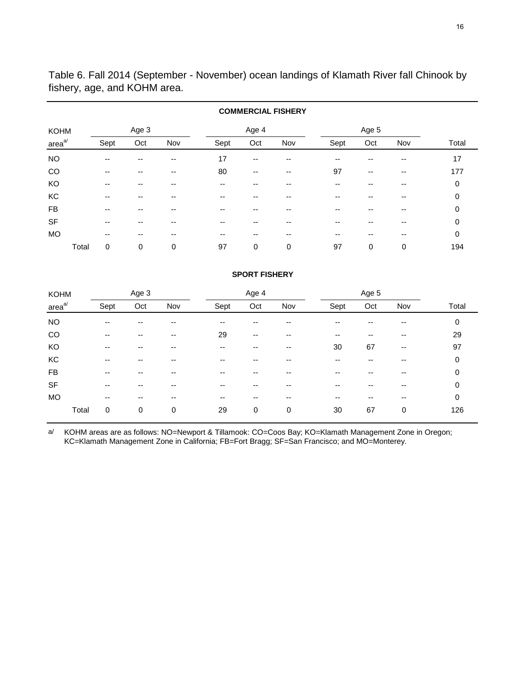Table 6. Fall 2014 (September - November) ocean landings of Klamath River fall Chinook by fishery, age, and KOHM area.

|             | <b>COMMERCIAL FISHERY</b> |      |       |     |      |       |       |      |       |       |       |  |  |  |  |
|-------------|---------------------------|------|-------|-----|------|-------|-------|------|-------|-------|-------|--|--|--|--|
| <b>KOHM</b> |                           |      | Age 3 |     |      | Age 4 |       |      | Age 5 |       |       |  |  |  |  |
| $areaa$     |                           | Sept | Oct   | Nov | Sept | Oct   | Nov   | Sept | Oct   | Nov   | Total |  |  |  |  |
| <b>NO</b>   |                           | --   |       |     | 17   | --    |       | --   |       |       | 17    |  |  |  |  |
| CO          |                           | --   | --    | --  | 80   | --    | $- -$ | 97   | $- -$ | $- -$ | 177   |  |  |  |  |
| KO          |                           | --   |       |     | --   |       |       | --   |       | --    | 0     |  |  |  |  |
| KC          |                           | --   | --    | --  | --   | --    | --    | --   | --    | --    | 0     |  |  |  |  |
| <b>FB</b>   |                           | --   |       |     | --   |       |       |      |       |       | 0     |  |  |  |  |
| <b>SF</b>   |                           | --   | --    | --  | --   | --    |       | --   | --    | --    | 0     |  |  |  |  |
| <b>MO</b>   |                           | --   | --    |     | --   | --    |       | --   | --    | --    | 0     |  |  |  |  |
|             | Total                     | 0    | 0     | 0   | 97   | 0     | 0     | 97   | 0     | 0     | 194   |  |  |  |  |

# **COMMERCIAL FISHERY**

# **SPORT FISHERY**

| <b>KOHM</b>        |       |       | Age 3 |     |      | Age 4 |     |      | Age 5 |       |       |
|--------------------|-------|-------|-------|-----|------|-------|-----|------|-------|-------|-------|
| area <sup>a/</sup> |       | Sept  | Oct   | Nov | Sept | Oct   | Nov | Sept | Oct   | Nov   | Total |
| <b>NO</b>          |       | $- -$ | --    |     | --   |       |     | --   |       |       | 0     |
| CO                 |       | $-$   | --    | --  | 29   | --    | --  | --   | --    | $- -$ | 29    |
| KO                 |       | $-$   | --    | --  | --   | --    | --  | 30   | 67    | $- -$ | 97    |
| KC                 |       | --    | --    | --  | --   |       |     | --   | --    | --    | 0     |
| FB                 |       | $-$   | --    | --  | $-$  | --    | --  | --   | --    | $- -$ | 0     |
| <b>SF</b>          |       | $-$   | --    | --  | --   | --    | --  | --   | --    | --    | 0     |
| <b>MO</b>          |       | $-$   | --    | --  | $-$  | --    | --  | --   | --    | $- -$ | 0     |
|                    | Total | 0     | 0     | 0   | 29   | 0     | 0   | 30   | 67    | 0     | 126   |

a/ KOHM areas are as follows: NO=Newport & Tillamook: CO=Coos Bay; KO=Klamath Management Zone in Oregon; KC=Klamath Management Zone in California; FB=Fort Bragg; SF=San Francisco; and MO=Monterey.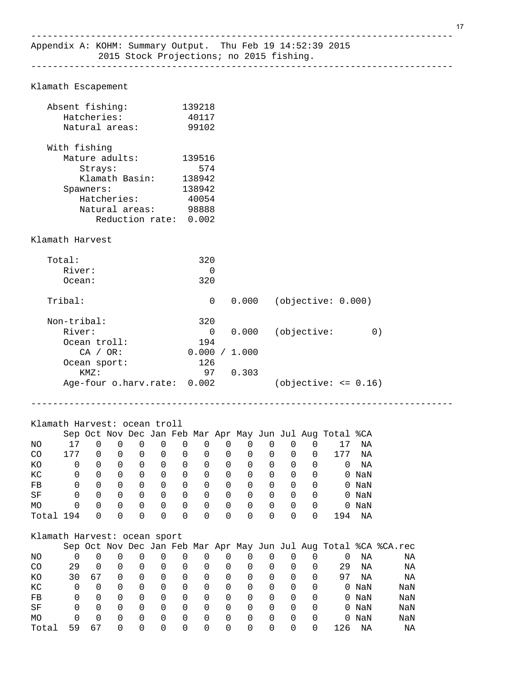------------------------------------------------------------------------------

Klamath Escapement

|           | Absent fishing:              |          |             |                      |          |             | 139218         |          |                                                         |                |                |          |                                                           |          |                                                                   |  |
|-----------|------------------------------|----------|-------------|----------------------|----------|-------------|----------------|----------|---------------------------------------------------------|----------------|----------------|----------|-----------------------------------------------------------|----------|-------------------------------------------------------------------|--|
|           | Hatcheries:                  |          |             |                      |          |             | 40117          |          |                                                         |                |                |          |                                                           |          |                                                                   |  |
|           | Natural areas:               |          |             |                      |          |             | 99102          |          |                                                         |                |                |          |                                                           |          |                                                                   |  |
|           |                              |          |             |                      |          |             |                |          |                                                         |                |                |          |                                                           |          |                                                                   |  |
|           | With fishing                 |          |             |                      |          |             |                |          |                                                         |                |                |          |                                                           |          |                                                                   |  |
|           | Mature adults:               |          |             |                      |          |             | 139516         |          |                                                         |                |                |          |                                                           |          |                                                                   |  |
|           |                              | Strays:  |             |                      |          |             | 574            |          |                                                         |                |                |          |                                                           |          |                                                                   |  |
|           |                              |          |             | Klamath Basin:       |          |             | 138942         |          |                                                         |                |                |          |                                                           |          |                                                                   |  |
|           | Spawners:                    |          |             |                      |          |             | 138942         |          |                                                         |                |                |          |                                                           |          |                                                                   |  |
|           |                              |          | Hatcheries: |                      |          |             | 40054          |          |                                                         |                |                |          |                                                           |          |                                                                   |  |
|           |                              |          |             | Natural areas: 98888 |          |             |                |          |                                                         |                |                |          |                                                           |          |                                                                   |  |
|           |                              |          |             |                      |          |             |                |          |                                                         |                |                |          |                                                           |          |                                                                   |  |
|           |                              |          |             | Reduction rate:      |          |             | 0.002          |          |                                                         |                |                |          |                                                           |          |                                                                   |  |
|           | Klamath Harvest              |          |             |                      |          |             |                |          |                                                         |                |                |          |                                                           |          |                                                                   |  |
|           |                              |          |             |                      |          |             |                |          |                                                         |                |                |          |                                                           |          |                                                                   |  |
|           | Total:                       |          |             |                      |          |             | 320            |          |                                                         |                |                |          |                                                           |          |                                                                   |  |
|           | River:                       |          |             |                      |          |             |                | 0        |                                                         |                |                |          |                                                           |          |                                                                   |  |
|           | $Ocean$ :                    |          |             |                      |          |             | 320            |          |                                                         |                |                |          |                                                           |          |                                                                   |  |
|           |                              |          |             |                      |          |             |                |          |                                                         |                |                |          |                                                           |          |                                                                   |  |
|           | Tribal:                      |          |             |                      |          |             |                | 0        | 0.000                                                   |                |                |          | (objective: 0.000)                                        |          |                                                                   |  |
|           | Non-tribal:                  |          |             |                      |          |             | 320            |          |                                                         |                |                |          |                                                           |          |                                                                   |  |
|           | River:                       |          |             |                      |          |             |                | 0        | 0.000                                                   |                |                |          | (objective:                                               |          | 0)                                                                |  |
|           | Ocean troll:                 |          |             |                      |          |             | 194            |          |                                                         |                |                |          |                                                           |          |                                                                   |  |
|           |                              | CA / OR: |             |                      |          |             |                |          | 0.000 / 1.000                                           |                |                |          |                                                           |          |                                                                   |  |
|           |                              |          |             |                      |          |             | 126            |          |                                                         |                |                |          |                                                           |          |                                                                   |  |
|           | Ocean sport:                 | KMZ:     |             |                      |          |             |                | 97       | 0.303                                                   |                |                |          |                                                           |          |                                                                   |  |
|           | Age-four o.harv.rate: 0.002  |          |             |                      |          |             |                |          |                                                         |                |                |          | $(objective: <= 0.16)$                                    |          |                                                                   |  |
|           |                              |          |             |                      |          |             |                |          |                                                         |                |                |          |                                                           |          |                                                                   |  |
|           |                              |          |             |                      |          |             |                |          |                                                         |                |                |          |                                                           |          |                                                                   |  |
|           |                              |          |             |                      |          |             |                |          |                                                         |                |                |          |                                                           |          |                                                                   |  |
|           | Klamath Harvest: ocean troll |          |             |                      |          |             |                |          |                                                         |                |                |          |                                                           |          |                                                                   |  |
|           |                              |          |             |                      |          |             |                |          |                                                         |                |                |          | Sep Oct Nov Dec Jan Feb Mar Apr May Jun Jul Aug Total %CA |          |                                                                   |  |
| NO.       | 17                           | $\Omega$ | $\Omega$    | $\Omega$             | $\Omega$ | $\mathbf 0$ | $\overline{0}$ |          | $\overline{0}$<br>0                                     | $\overline{0}$ | $\mathbf 0$    | 0        | 17                                                        | ΝA       |                                                                   |  |
| CO        | 177                          |          |             | $0\qquad 0\qquad 0$  |          |             |                |          | $\begin{matrix} 0 & 0 & 0 & 0 & 0 & 0 & 0 \end{matrix}$ |                |                |          | 177<br>0                                                  | ΝA       |                                                                   |  |
| KO        | 0                            |          | $0\qquad 0$ | 0                    |          | $0\qquad 0$ | $\overline{0}$ |          | $0\qquad 0\qquad 0$                                     |                | $\overline{0}$ | 0        | $\overline{0}$                                            | ΝA       |                                                                   |  |
| КC        | 0                            | $\Omega$ | $\Omega$    | $\Omega$             | $\Omega$ | $\Omega$    | $\Omega$       | $\Omega$ | $\Omega$                                                | $\Omega$       | $\mathbf 0$    | $\Omega$ |                                                           | $0$ NaN  |                                                                   |  |
|           |                              |          |             |                      |          |             |                |          |                                                         |                |                |          |                                                           |          |                                                                   |  |
| FB        | U                            | 0        | U           | U                    | U        | 0           | 0              | 0        | 0                                                       | U              | O              | U        |                                                           | $0$ NaN  |                                                                   |  |
| $\rm SF$  | 0                            | 0        | 0           | 0                    | 0        | 0           | 0              | 0        | 0                                                       | 0              | 0              | 0        |                                                           | $0$ NaN  |                                                                   |  |
| MO        | 0                            | 0        | 0           | 0                    | 0        | 0           | 0              | 0        | 0                                                       | 0              | 0              | 0        |                                                           | $0$ NaN  |                                                                   |  |
| Total 194 |                              | 0        | 0           | 0                    | 0        | 0           | 0              | $\Omega$ | $\Omega$                                                | 0              | 0              | 0        | 194                                                       | $\rm NA$ |                                                                   |  |
|           |                              |          |             |                      |          |             |                |          |                                                         |                |                |          |                                                           |          |                                                                   |  |
|           | Klamath Harvest: ocean sport |          |             |                      |          |             |                |          |                                                         |                |                |          |                                                           |          |                                                                   |  |
| NO.       | $\Omega$                     |          |             |                      |          |             |                |          | $0 \t0 \t0 \t0 \t0 \t0 \t0 \t0 \t0 \t0 \t0$             |                |                |          |                                                           | 0 NA     | Sep Oct Nov Dec Jan Feb Mar Apr May Jun Jul Aug Total %CA %CA.rec |  |
|           |                              |          |             |                      |          |             |                |          |                                                         |                |                |          |                                                           |          | ΝA                                                                |  |

NO 0 0 0 0 0 0 0 0 0 0 0 0 0 NA NA CO 29 0 0 0 0 0 0 0 0 0 0 0 29 NA NA KO 30 67 0 0 0 0 0 0 0 0 0 0 97 NA NA KC 0 0 0 0 0 0 0 0 0 0 0 0 0 NaN NaN FB 0 0 0 0 0 0 0 0 0 0 0 0 0 NaN NaN SF 0 0 0 0 0 0 0 0 0 0 0 0 0 NaN NaN MO 0 0 0 0 0 0 0 0 0 0 0 0 0 NaN NaN Total 59 67 0 0 0 0 0 0 0 0 0 0 126 NA NA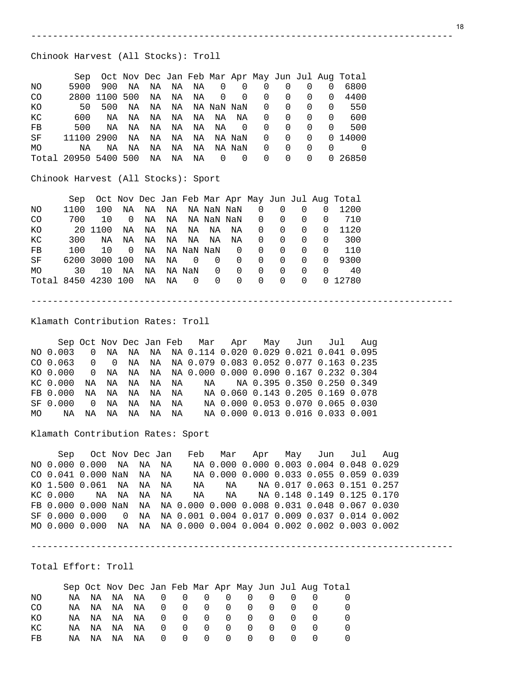#### Chinook Harvest (All Stocks): Troll

|                |                      |           |     |    |                   |    |                |          |          |                |          |          | Sep Oct Nov Dec Jan Feb Mar Apr May Jun Jul Aug Total |
|----------------|----------------------|-----------|-----|----|-------------------|----|----------------|----------|----------|----------------|----------|----------|-------------------------------------------------------|
| NO.            | 5900                 | 900       | NA  | NA | NA                | NA | $\overline{0}$ | $\Omega$ | 0        | 0              | 0        | $\Omega$ | 6800                                                  |
| C <sub>O</sub> |                      | 2800 1100 | 500 |    | NA NA             | NA | $\overline{0}$ | $\Omega$ | 0        | $\Omega$       | $\Omega$ | 0        | 4400                                                  |
| КO             | 50                   | 500       | NA  | NA | NA   NA  NaN  NaN |    |                |          | $\Omega$ | $\Omega$       | 0        | 0        | 550                                                   |
| KC             | 600                  | ΝA        | NA  | NA | NA                | NA | NA             | NA       | 0        | $\Omega$       | 0        | 0        | 600                                                   |
| FB             | 500                  | ΝA        | NA  | NA | NA                | NA | NA             | 0        | 0        | $\Omega$       | 0        | 0        | 500                                                   |
| SF             | 11100 2900           |           | NA  | NA | NA                | NA |                | NA NaN   | $\Omega$ | $\overline{0}$ | $\Omega$ |          | 0 14000                                               |
| MO             | ΝA                   | ΝA        | ΝA  | NA | ΝA                | ΝA |                | NA NaN   | $\Omega$ | $\Omega$       | 0        | 0        |                                                       |
|                | Total 20950 5400 500 |           |     | NA | ΝA                | NA | 0              | - 0      | 0        | $\Omega$       | $\Omega$ |          | 0 26850                                               |

------------------------------------------------------------------------------

Chinook Harvest (All Stocks): Sport

|                     | Sep  |               |    |    |    |                |            |            |          |   |          |   | Oct Nov Dec Jan Feb Mar Apr May Jun Jul Aug Total |
|---------------------|------|---------------|----|----|----|----------------|------------|------------|----------|---|----------|---|---------------------------------------------------|
| NO.                 | 1100 | 100           | NA | NA | NA |                |            | NA NaN NaN | 0        | 0 | $\Omega$ | 0 | 1200                                              |
| CO <sub>.</sub>     | 700  | 1 O           | 0  | NA | NA |                |            | NA NaN NaN | 0        | 0 | 0        |   | 710                                               |
| КO                  |      | 20 1100       | NA | NA | NA | NA             | NA         | ΝA         | 0        | 0 | 0        | 0 | 1120                                              |
| КC                  | 300  | ΝA            | ΝA | NA | NA | NA             | NA         | ΝA         | 0        | 0 | $\Omega$ |   | 300                                               |
| $_{\rm FB}$         | 100  | 1 O           | 0  | NA |    |                | NA NaN NaN | 0          | $\Omega$ | 0 | 0        |   | 110                                               |
| SF                  |      | 6200 3000 100 |    | NA | NA | $\overline{0}$ | 0          | 0          | $\Omega$ | 0 | 0        | 0 | 9300                                              |
| <b>MO</b>           | 30   | 10            | ΝA | NA |    | NA NaN         | 0          | 0          | $\Omega$ | 0 | 0        |   | 40                                                |
| Total 8450 4230 100 |      |               |    | NA | ΝA | - 0            | $\Omega$   | 0          | $\Omega$ | 0 | $\Omega$ |   | 0 12780                                           |

------------------------------------------------------------------------------

Klamath Contribution Rates: Troll

 Sep Oct Nov Dec Jan Feb Mar Apr May Jun Jul Aug NO 0.003 0 NA NA NA NA 0.114 0.020 0.029 0.021 0.041 0.095 CO 0.063 0 0 NA NA NA 0.079 0.083 0.052 0.077 0.163 0.235 KO 0.000 0 NA NA NA NA 0.000 0.000 0.090 0.167 0.232 0.304 KC 0.000 NA NA NA NA NA NA NA 0.395 0.350 0.250 0.349 FB 0.000 NA NA NA NA NA NA 0.060 0.143 0.205 0.169 0.078 0 NA NA NA NA NA 0.000 0.053 0.070 0.065 0.030 MO NA NA NA NA NA NA NA 0.000 0.013 0.016 0.033 0.001

Klamath Contribution Rates: Sport

 Sep Oct Nov Dec Jan Feb Mar Apr May Jun Jul Aug NO 0.000 0.000 NA NA NA NA 0.000 0.000 0.003 0.004 0.048 0.029 CO 0.041 0.000 NaN NA NA NA 0.000 0.000 0.033 0.055 0.059 0.039 KO 1.500 0.061 NA NA NA NA NA NA 0.017 0.063 0.151 0.257 KC 0.000 NA NA NA NA NA NA NA 0.148 0.149 0.125 0.170 FB 0.000 0.000 NaN NA NA 0.000 0.000 0.008 0.031 0.048 0.067 0.030 SF 0.000 0.000 0 NA NA 0.001 0.004 0.017 0.009 0.037 0.014 0.002 MO 0.000 0.000 NA NA NA 0.000 0.004 0.004 0.002 0.002 0.003 0.002

------------------------------------------------------------------------------

Total Effort: Troll

|     |     |    |    |     |   |          |          |                  |          |                  |  | Sep Oct Nov Dec Jan Feb Mar Apr May Jun Jul Aug Total |
|-----|-----|----|----|-----|---|----------|----------|------------------|----------|------------------|--|-------------------------------------------------------|
| NO. | NA. | NA | NA | NA. | O | 0        | O        |                  |          |                  |  |                                                       |
| CO. | NA  | NA | NA | ΝA  | O | - 0      | $\Omega$ | <sup>0</sup>     | $\Omega$ | <sup>()</sup>    |  |                                                       |
| КO  | NA  | NA | NA | NA  | O | - 0      | $\cup$   | - 0              | $\Omega$ | ()               |  |                                                       |
| КC  | NA  | NA | NA | ΝA  | O | $\Omega$ | $\cup$   | $\left( \right)$ | $\Omega$ | $\left( \right)$ |  |                                                       |
| FB. | NA. | NA | NA | NA  | O | 0        | $\cup$   | 0                | $\Omega$ | ()               |  |                                                       |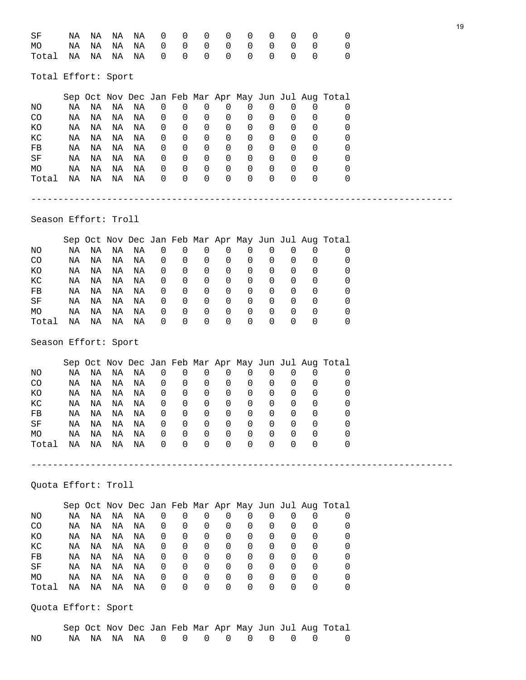| SF<br>МO<br>Total                                                      | ΝA<br>ΝA<br>ΝA                               | ΝA<br>ΝA<br>ΝA                               | ΝA<br>ΝA<br>ΝA                               | ΝA<br>NA<br>ΝA                               | 0<br>0<br>0                                    | 0<br>0<br>$\mathbf 0$                                    | 0<br>$\mathbf 0$<br>$\Omega$                                    | 0<br>$\mathbf 0$<br>0                           | 0<br>$\mathbf 0$<br>$\mathbf 0$                                 | 0<br>0<br>$\Omega$                                           | 0<br>0<br>$\Omega$                                              | 0<br>0<br>$\mathbf 0$                                     | 0<br>0<br>0                                                                                          | 19 |
|------------------------------------------------------------------------|----------------------------------------------|----------------------------------------------|----------------------------------------------|----------------------------------------------|------------------------------------------------|----------------------------------------------------------|-----------------------------------------------------------------|-------------------------------------------------|-----------------------------------------------------------------|--------------------------------------------------------------|-----------------------------------------------------------------|-----------------------------------------------------------|------------------------------------------------------------------------------------------------------|----|
| Total Effort: Sport                                                    |                                              |                                              |                                              |                                              |                                                |                                                          |                                                                 |                                                 |                                                                 |                                                              |                                                                 |                                                           |                                                                                                      |    |
| NO<br>CO<br>ΚO<br>КC<br>FB<br>SF<br>МO<br>Total                        | ΝA<br>ΝA<br>ΝA<br>ΝA<br>ΝA<br>ΝA<br>ΝA<br>ΝA | NA<br>ΝA<br>ΝA<br>NA<br>NA<br>NA<br>NA<br>ΝA | ΝA<br>ΝA<br>ΝA<br>NA<br>ΝA<br>NA<br>NA<br>ΝA | ΝA<br>NA<br>ΝA<br>NA<br>NA<br>NA<br>NA<br>ΝA | 0<br>0<br>0<br>0<br>0<br>0<br>0<br>0           | 0<br>0<br>0<br>0<br>0<br>0<br>$\mathbf 0$<br>$\mathbf 0$ | 0<br>0<br>0<br>0<br>0<br>0<br>$\mathbf 0$<br>$\mathbf 0$        | 0<br>0<br>0<br>0<br>0<br>$\mathbf{0}$<br>0<br>0 | 0<br>0<br>0<br>0<br>0<br>$\mathbf 0$<br>$\mathbf 0$<br>0        | 0<br>0<br>0<br>0<br>0<br>0<br>0<br>$\Omega$                  | 0<br>0<br>0<br>0<br>0<br>0<br>0<br>$\Omega$                     | 0<br>0<br>0<br>0<br>0<br>0<br>$\mathbf{0}$<br>$\mathbf 0$ | Sep Oct Nov Dec Jan Feb Mar Apr May Jun Jul Aug Total<br>0<br>0<br>0<br>0<br>0<br>0<br>0<br>0        |    |
| Season Effort: Troll                                                   |                                              |                                              |                                              |                                              |                                                |                                                          |                                                                 |                                                 |                                                                 |                                                              |                                                                 |                                                           |                                                                                                      |    |
| NO<br>CO<br>KO<br>${\rm KC}$<br>${\rm FB}$<br>$\rm{SF}$<br>МO<br>Total | ΝA<br>ΝA<br>ΝA<br>ΝA<br>ΝA<br>ΝA<br>ΝA<br>ΝA | ΝA<br>ΝA<br>NA<br>ΝA<br>ΝA<br>ΝA<br>ΝA<br>ΝA | ΝA<br>ΝA<br>ΝA<br>ΝA<br>ΝA<br>ΝA<br>ΝA<br>ΝA | ΝA<br>ΝA<br>NA<br>NA<br>ΝA<br>ΝA<br>NA<br>ΝA | 0<br>0<br>0<br>0<br>0<br>0<br>0<br>0           | 0<br>0<br>0<br>0<br>0<br>0<br>0<br>$\mathbf 0$           | 0<br>0<br>0<br>0<br>0<br>0<br>0<br>$\Omega$                     | 0<br>0<br>0<br>0<br>0<br>0<br>0<br>$\Omega$     | 0<br>0<br>0<br>0<br>0<br>$\mathbf 0$<br>$\mathbf 0$<br>$\Omega$ | 0<br>0<br>0<br>0<br>0<br>0<br>0<br>$\Omega$                  | 0<br>0<br>0<br>0<br>0<br>0<br>0<br>$\Omega$                     | 0<br>0<br>0<br>0<br>0<br>0<br>$\mathbf{0}$<br>0           | Sep Oct Nov Dec Jan Feb Mar Apr May Jun Jul Aug Total<br>0<br>0<br>0<br>0<br>0<br>0<br>0<br>0        |    |
| Season Effort: Sport                                                   |                                              |                                              |                                              |                                              |                                                |                                                          |                                                                 |                                                 |                                                                 |                                                              |                                                                 |                                                           |                                                                                                      |    |
| NO<br>CO<br>KO<br>КC<br>FB<br>SF<br>МO<br>Total                        | ΝA<br>ΝA<br>ΝA<br>ΝA<br>ΝA<br>ΝA<br>ΝA<br>ΝA | ΝA<br>ΝA<br>ΝA<br>ΝA<br>ΝA<br>ΝA<br>ΝA<br>ΝA | ΝA<br>ΝA<br>ΝA<br>ΝA<br>ΝA<br>ΝA<br>ΝA<br>ΝA | ΝA<br>ΝA<br>ΝA<br>ΝA<br>ΝA<br>ΝA<br>ΝA<br>ΝA | 0<br>0<br>0<br>0<br>0<br>0<br>0<br>$\mathbf 0$ | 0<br>0<br>0<br>0<br>0<br>0<br>0<br>$\mathbf 0$           | $\mathsf 0$<br>0<br>0<br>$\mathbf 0$<br>0<br>0<br>0<br>$\Omega$ | 0<br>0<br>0<br>0<br>0<br>0<br>0<br>$\mathbf 0$  | 0<br>0<br>0<br>0<br>0<br>0<br>$\mathbf 0$<br>0                  | 0<br>0<br>0<br>$\Omega$<br>0<br>0<br>$\mathsf 0$<br>$\Omega$ | 0<br>0<br>0<br>$\Omega$<br>0<br>$\overline{0}$<br>0<br>$\Omega$ | 0<br>0<br>0<br>0<br>0<br>0<br>0<br>$\Omega$               | Sep Oct Nov Dec Jan Feb Mar Apr May Jun Jul Aug Total<br>0<br>0<br>0<br>0<br>0<br>0<br>0<br>$\Omega$ |    |
| Quota Effort: Troll                                                    |                                              |                                              |                                              |                                              |                                                |                                                          |                                                                 |                                                 |                                                                 |                                                              |                                                                 |                                                           |                                                                                                      |    |
| NO<br>CO<br>KO<br>KC<br>${\rm FB}$<br>SF<br>МO<br>Total                | ΝA<br>ΝA<br>ΝA<br>ΝA<br>ΝA<br>ΝA<br>ΝA<br>ΝA | ΝA<br>ΝA<br>ΝA<br>ΝA<br>ΝA<br>ΝA<br>ΝA<br>ΝA | ΝA<br>ΝA<br>NA<br>ΝA<br>ΝA<br>ΝA<br>ΝA<br>ΝA | ΝA<br>ΝA<br>NA<br>NA<br>ΝA<br>NA<br>NA<br>NA | $\mathsf 0$<br>0<br>0<br>0<br>0<br>0<br>0<br>0 | 0<br>0<br>0<br>0<br>0<br>0<br>0<br>0                     | $\mathbf 0$<br>0<br>0<br>0<br>0<br>0<br>0<br>$\mathbf 0$        | 0<br>0<br>0<br>0<br>0<br>0<br>0<br>0            | 0<br>0<br>0<br>0<br>0<br>0<br>0<br>0                            | 0<br>0<br>0<br>0<br>0<br>0<br>0<br>$\Omega$                  | 0<br>0<br>0<br>0<br>0<br>0<br>0<br>$\Omega$                     | 0<br>0<br>0<br>0<br>0<br>0<br>0<br>0                      | Sep Oct Nov Dec Jan Feb Mar Apr May Jun Jul Aug Total<br>0<br>0<br>0<br>0<br>0<br>0<br>0<br>0        |    |
| Quota Effort: Sport                                                    |                                              |                                              |                                              |                                              |                                                |                                                          |                                                                 |                                                 |                                                                 |                                                              |                                                                 |                                                           | Sep Oct Nov Dec Jan Feb Mar Apr May Jun Jul Aug Total                                                |    |
|                                                                        |                                              |                                              |                                              |                                              |                                                |                                                          |                                                                 |                                                 |                                                                 |                                                              |                                                                 |                                                           |                                                                                                      |    |

NO NA NA NA NA 0 0 0 0 0 0 0 0 0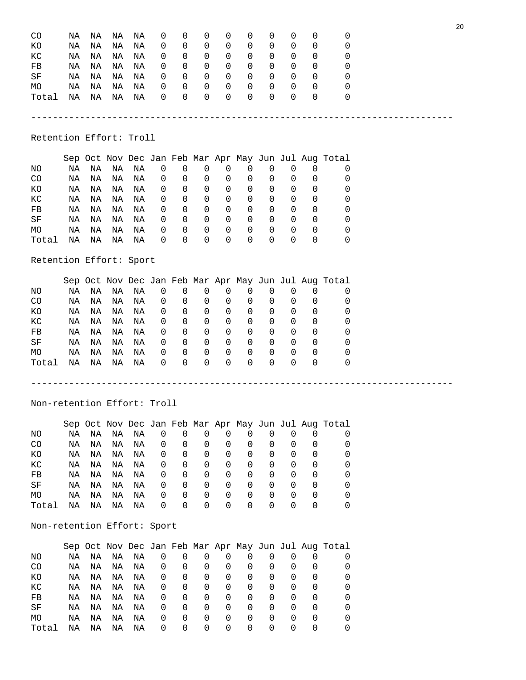| CO<br>ΚO<br>КC<br>FB<br>SF<br>МO<br>Total | ΝA<br>ΝA<br>ΝA<br>ΝA<br>ΝA<br>ΝA<br>ΝA | ΝA<br>ΝA<br>ΝA<br>ΝA<br>ΝA<br>ΝA<br>ΝA | ΝA<br>ΝA<br>ΝA<br>ΝA<br>ΝA<br>ΝA<br>ΝA | ΝA<br>ΝA<br>ΝA<br>ΝA<br>ΝA<br>ΝA<br>ΝA | 0<br>0<br>0<br>0<br>0<br>0<br>0 | 0<br>0<br>0<br>$\theta$<br>0<br>0<br>$\Omega$ | 0<br>0<br>0<br>0<br>0<br>$\mathbf 0$<br>$\Omega$ | 0<br>0<br>0<br>0<br>0<br>$\mathbf 0$<br>$\Omega$ | 0<br>0<br>0<br>0<br>0<br>0<br>$\Omega$ | 0<br>0<br>0<br>0<br>0<br>0<br>$\Omega$ | 0<br>0<br>0<br>0<br>0<br>0<br>$\Omega$ | 0<br>0<br>0<br>0<br>0<br>0<br>$\Omega$ | 0<br>0<br>0<br>0<br>0<br>O<br>O                       |  |
|-------------------------------------------|----------------------------------------|----------------------------------------|----------------------------------------|----------------------------------------|---------------------------------|-----------------------------------------------|--------------------------------------------------|--------------------------------------------------|----------------------------------------|----------------------------------------|----------------------------------------|----------------------------------------|-------------------------------------------------------|--|
| Retention Effort: Troll                   |                                        |                                        |                                        |                                        |                                 |                                               |                                                  |                                                  |                                        |                                        |                                        |                                        |                                                       |  |
|                                           |                                        |                                        |                                        |                                        |                                 |                                               |                                                  |                                                  |                                        |                                        |                                        |                                        | Sep Oct Nov Dec Jan Feb Mar Apr May Jun Jul Aug Total |  |
| ΝO                                        | ΝA                                     | NA                                     | ΝA                                     | ΝA                                     | $\mathbf 0$                     | 0                                             | 0                                                | 0                                                | 0                                      | 0                                      | 0                                      | 0                                      | 0                                                     |  |
| CO                                        | ΝA                                     | ΝA                                     | ΝA                                     | ΝA                                     | 0                               | 0                                             | 0                                                | 0                                                | 0                                      | 0                                      | 0                                      | 0                                      | 0                                                     |  |
| ΚO                                        | ΝA                                     | ΝA                                     | ΝA                                     | ΝA                                     | 0                               | 0                                             | 0                                                | 0                                                | 0                                      | 0                                      | 0                                      | 0                                      | 0                                                     |  |
| KC                                        | ΝA                                     | ΝA                                     | ΝA                                     | ΝA                                     | 0                               | 0                                             | 0                                                | 0                                                | 0                                      | 0                                      | 0                                      | 0                                      | 0                                                     |  |
| FB                                        | ΝA                                     | ΝA                                     | ΝA                                     | ΝA                                     | 0                               | 0                                             | 0                                                | 0                                                | 0                                      | 0                                      | 0                                      | 0                                      | 0                                                     |  |
| SF                                        | ΝA                                     | ΝA                                     | ΝA                                     | ΝA                                     | 0                               | 0                                             | 0                                                | 0                                                | 0                                      | 0                                      | 0                                      | 0                                      | 0                                                     |  |
| МO                                        | ΝA                                     | ΝA                                     | ΝA                                     | ΝA                                     | 0                               | 0                                             | 0                                                | 0                                                | 0                                      | 0                                      | 0                                      | 0                                      | 0                                                     |  |
| Total                                     | ΝA                                     | ΝA                                     | ΝA                                     | ΝA                                     | 0                               | $\Omega$                                      | 0                                                | 0                                                | 0                                      | $\mathbf 0$                            | $\Omega$                               | 0                                      | 0                                                     |  |
| Retention Effort: Sport                   |                                        |                                        |                                        |                                        |                                 |                                               |                                                  |                                                  |                                        |                                        |                                        |                                        |                                                       |  |
|                                           |                                        |                                        |                                        |                                        |                                 |                                               |                                                  |                                                  |                                        |                                        |                                        |                                        | Sep Oct Nov Dec Jan Feb Mar Apr May Jun Jul Aug Total |  |
| NO                                        | ΝA                                     | NA                                     | ΝA                                     | ΝA                                     | 0                               | 0                                             | 0                                                | 0                                                | $\mathbf 0$                            | 0                                      | $\mathsf{O}\xspace$                    | 0                                      | 0                                                     |  |
| CO                                        | ΝA                                     | ΝA                                     | ΝA                                     | ΝA                                     | 0                               | 0                                             | 0                                                | 0                                                | 0                                      | 0                                      | 0                                      | 0                                      | 0                                                     |  |
| KO                                        | ΝA                                     | ΝA                                     | ΝA                                     | ΝA                                     | 0                               | 0                                             | 0                                                | 0                                                | 0                                      | 0                                      | 0                                      | 0                                      | 0                                                     |  |
| КC                                        | ΝA                                     | ΝA                                     | ΝA                                     | NA                                     | 0                               | 0                                             | 0                                                | 0                                                | 0                                      | 0                                      | 0                                      | 0                                      | 0                                                     |  |
| FB                                        | ΝA                                     | ΝA                                     | ΝA                                     | NA                                     | 0                               | 0                                             | 0                                                | 0                                                | 0                                      | 0                                      | 0                                      | 0                                      | 0                                                     |  |
| SF                                        | ΝA                                     | ΝA                                     | ΝA                                     | NA                                     | 0                               | 0                                             | 0                                                | 0                                                | 0                                      | 0                                      | 0                                      | 0                                      | 0                                                     |  |
| МO                                        | ΝA                                     | ΝA                                     | ΝA                                     | ΝA                                     | 0                               | 0                                             | 0                                                | $\mathbf 0$                                      | 0                                      | 0                                      | 0                                      | 0                                      | 0                                                     |  |
| Total                                     | ΝA                                     | ΝA                                     | ΝA                                     | ΝA                                     | 0                               | $\Omega$                                      | $\Omega$                                         | $\mathbf 0$                                      | $\mathbf 0$                            | $\mathbf 0$                            | $\mathbf 0$                            | 0                                      | 0                                                     |  |
|                                           |                                        |                                        |                                        |                                        |                                 |                                               |                                                  |                                                  |                                        |                                        |                                        |                                        |                                                       |  |
| Non-retention Effort: Troll               |                                        |                                        |                                        |                                        |                                 |                                               |                                                  |                                                  |                                        |                                        |                                        |                                        |                                                       |  |
|                                           |                                        |                                        |                                        |                                        |                                 |                                               |                                                  |                                                  |                                        |                                        |                                        |                                        | Sep Oct Nov Dec Jan Feb Mar Apr May Jun Jul Aug Total |  |
| ΝO                                        | ΝA                                     | ΝA                                     | ΝA                                     | ΝA                                     | 0                               | $\mathbf 0$                                   | 0                                                | 0                                                | 0                                      | 0                                      | 0                                      | 0                                      | 0                                                     |  |
| CO                                        | ΝA                                     | ΝA                                     | ΝA                                     | ΝA                                     | 0                               | 0                                             | 0                                                | 0                                                | 0                                      | 0                                      | 0                                      | 0                                      | 0                                                     |  |
| КO                                        | ΝA                                     | ΝA                                     | ΝA                                     | ΝA                                     | 0                               | 0                                             | 0                                                | 0                                                | 0                                      | 0                                      | 0                                      | 0                                      | 0                                                     |  |
| КC                                        | ΝA                                     | ΝA                                     | ΝA                                     | ΝA                                     | 0                               | 0                                             | 0                                                | 0                                                | 0                                      | 0                                      | 0                                      | 0                                      | 0                                                     |  |
| FB                                        | ΝA                                     | ΝA                                     | ΝA                                     | ΝA                                     | 0                               | 0                                             | 0                                                | 0                                                | 0                                      | 0                                      | 0                                      | 0                                      | 0                                                     |  |
| SF                                        | ΝA                                     | ΝA                                     | ΝA                                     | ΝA                                     | 0                               | 0                                             | 0                                                | 0                                                | 0                                      | 0                                      | 0                                      | 0                                      | 0                                                     |  |
| МO                                        | ΝA                                     | ΝA                                     | ΝA                                     | ΝA                                     | 0                               | 0                                             | 0                                                | 0                                                | 0                                      | 0                                      | 0                                      | 0                                      | 0                                                     |  |
| Total                                     | ΝA                                     | ΝA                                     | ΝA                                     | ΝA                                     | 0                               | $\Omega$                                      | 0                                                | 0                                                | $\mathbf 0$                            | $\mathbf 0$                            | $\mathbf 0$                            | 0                                      | 0                                                     |  |
| Non-retention Effort: Sport               |                                        |                                        |                                        |                                        |                                 |                                               |                                                  |                                                  |                                        |                                        |                                        |                                        |                                                       |  |
|                                           |                                        |                                        |                                        |                                        |                                 |                                               |                                                  |                                                  |                                        |                                        |                                        |                                        | Sep Oct Nov Dec Jan Feb Mar Apr May Jun Jul Aug Total |  |
| ΝO                                        | ΝA                                     | ΝA                                     | ΝA                                     | ΝA                                     | 0                               | 0                                             | 0                                                | 0                                                | 0                                      | 0                                      | 0                                      | 0                                      | 0                                                     |  |
| CO                                        | ΝA                                     | ΝA                                     | ΝA                                     | ΝA                                     | 0                               | 0                                             | 0                                                | 0                                                | 0                                      | 0                                      | 0                                      | 0                                      | 0                                                     |  |
| ΚO                                        | ΝA                                     | ΝA                                     | ΝA                                     | ΝA                                     | 0                               | 0                                             | 0                                                | 0                                                | 0                                      | 0                                      | 0                                      | 0                                      | 0                                                     |  |
| КC                                        | ΝA                                     | ΝA                                     | ΝA                                     | ΝA                                     | 0                               | 0                                             | 0                                                | 0                                                | 0                                      | 0                                      | 0                                      | 0                                      | 0                                                     |  |
| FB                                        | ΝA                                     | ΝA                                     | ΝA                                     | ΝA                                     | 0                               | 0                                             | 0                                                | 0                                                | 0                                      | 0                                      | 0                                      | 0                                      | 0                                                     |  |
| SF                                        | ΝA                                     | ΝA                                     | ΝA                                     | ΝA                                     | 0                               | 0                                             | 0                                                | 0                                                | 0                                      | 0                                      | 0                                      | 0                                      | 0                                                     |  |
| МO                                        | ΝA                                     | ΝA                                     | ΝA                                     | ΝA                                     | 0                               | 0                                             | 0                                                | 0                                                | 0                                      | 0                                      | 0                                      | 0                                      | 0                                                     |  |
| Total                                     | ΝA                                     | ΝA                                     | ΝA                                     | ΝA                                     | 0                               | 0                                             | 0                                                | 0                                                | 0                                      | 0                                      | 0                                      | 0                                      | 0                                                     |  |
|                                           |                                        |                                        |                                        |                                        |                                 |                                               |                                                  |                                                  |                                        |                                        |                                        |                                        |                                                       |  |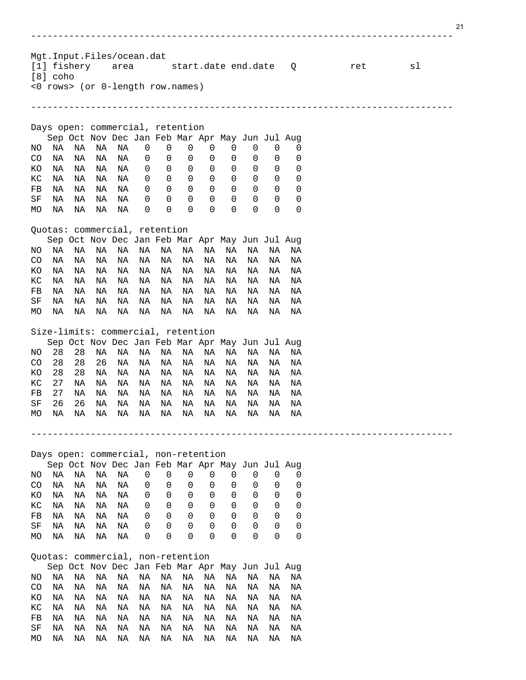------------------------------------------------------------------------------ Mgt.Input.Files/ocean.dat<br>[1] fishery area [1] fishery area start.date end.date Q ret sl [8] coho <0 rows> (or 0-length row.names) ------------------------------------------------------------------------------ Days open: commercial, retention Sep Oct Nov Dec Jan Feb Mar Apr May Jun Jul Aug NO NA NA NA NA 0 0 0 0 0 0 0 0<br>CO NA NA NA NA 0 0 0 0 0 0 0 0 CO NA NA NA NA 0 0 0 0 0 0 0 0 KO NA NA NA NA 0 0 0 0 0 0 0 0 KC NA NA NA NA 0 0 0 0 0 0 0 0<br>FB NA NA NA NA 0 0 0 0 0 0 0 0 FB NA NA NA NA 0 0 0 0 0 0 0 0<br>SF NA NA NA NA 0 0 0 0 0 0 0 0 SF NA NA NA NA 0000000000<br>MONA NA NA NA 000000000 MO NA NA NA NA Quotas: commercial, retention Sep Oct Nov Dec Jan Feb Mar Apr May Jun Jul Aug NO NA NA NA NA NA NA NA NA NA NA NA NA CO NA NA NA NA NA NA NA NA NA NA NA NA KO NA NA NA NA NA NA NA NA NA NA NA NA KC NA NA NA NA NA NA NA NA NA NA NA NA FB NA NA NA NA NA NA NA NA NA NA NA NA<br>SF NA NA NA NA NA NA NA NA NA NA NA NA SF NA NA NA NA NA NA NA NA NA NA NA NA MO NA NA NA NA NA NA NA NA NA NA NA NA Size-limits: commercial, retention Sep Oct Nov Dec Jan Feb Mar Apr May Jun Jul Aug NO 28 28 NA NA NA NA NA NA NA NA NA NA CO 28 28 26 NA NA NA NA NA NA NA NA NA KO 28 28 NA NA NA NA NA NA NA NA NA NA KC 27 NA NA NA NA NA NA NA NA NA NA NA FB 27 NA NA NA NA NA NA NA NA NA NA NA SF 26 26 NA NA NA NA NA NA NA NA NA NA MO NA NA NA NA NA NA NA NA NA NA NA NA ------------------------------------------------------------------------------ Days open: commercial, non-retention Sep Oct Nov Dec Jan Feb Mar Apr May Jun Jul Aug NO NA NA NA NA 0 0 0 0 0 0 0 0<br>CO NA NA NA NA 0 0 0 0 0 0 0 0 CO NA NA NA NA 0 0 0 0 0 0 0 0 KO NA NA NA NA 0 0 0 0 0 0 0 0 KC NA NA NA NA 0 0 0 0 0 0 0 0<br>FB NA NA NA NA 0 0 0 0 0 0 0 0 FB NA NA NA NA 0 0 0 0 0 0 0 0<br>SF NA NA NA NA 0 0 0 0 0 0 0 0 SF NA NA NA NA 0000000000<br>MONA NA NA NA 000000000 MO NA NA NA NA 0 0 0 0 0 0 0 0 Quotas: commercial, non-retention Sep Oct Nov Dec Jan Feb Mar Apr May Jun Jul Aug NO NA NA NA NA NA NA NA NA NA NA NA NA CO NA NA NA NA NA NA NA NA NA NA NA NA KO NA NA NA NA NA NA NA NA NA NA NA NA KC NA NA NA NA NA NA NA NA NA NA NA NA FB NA NA NA NA NA NA NA NA NA NA NA NA SF NA NA NA NA NA NA NA NA NA NA NA NA MO NA NA NA NA NA NA NA NA NA NA NA NA

21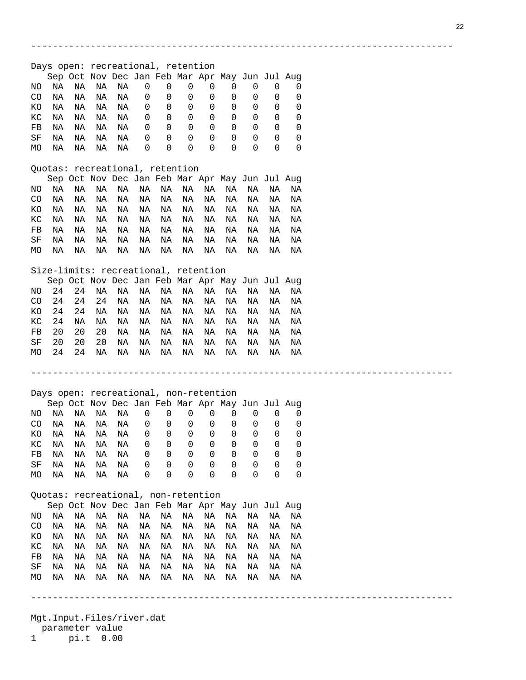------------------------------------------------------------------------------ Days open: recreational, retention Sep Oct Nov Dec Jan Feb Mar Apr May Jun Jul Aug NO NA NA NA NA 0 0 0 0 0 0 0 0 CO NA NA NA NA 0 0 0 0 0 0 0 0 KO NA NA NA NA 0 0 0 0 0 0 0 0 KC NA NA NA NA 0 0 0 0 0 0 0 0<br>FB NA NA NA NA 0 0 0 0 0 0 0 0 FB NA NA NA NA 0 0 0 0 0 0 0 0<br>SF NA NA NA NA 0 0 0 0 0 0 0 0 SF NA NA NA NA 0000000000<br>MONA NA NA NA 000000000 MO NA NA NA NA Quotas: recreational, retention Sep Oct Nov Dec Jan Feb Mar Apr May Jun Jul Aug NO NA NA NA NA NA NA NA NA NA NA NA NA CO NA NA NA NA NA NA NA NA NA NA NA NA KO NA NA NA NA NA NA NA NA NA NA NA NA KC NA NA NA NA NA NA NA NA NA NA NA NA FB NA NA NA NA NA NA NA NA NA NA NA NA<br>SF NA NA NA NA NA NA NA NA NA NA NA NA NA NA NA NA NA NA NA<br>NA NA NA NA NA NA NA MO NA NA NA NA NA NA NA NA NA NA NA NA

------------------------------------------------------------------------------

------------------------------------------------------------------------------

### Size-limits: recreational, retention

Sep Oct Nov Dec Jan Feb Mar Apr May Jun Jul Aug<br>NO 24 24 NA NA NA NA NA NA NA NA NA NA NO 24 24 NA NA NA NA NA NA NA NA NA NA CO 24 24 24 NA NA NA NA NA NA NA NA NA KO 24 24 NA NA NA NA NA NA NA NA NA NA KC 24 NA NA NA NA NA NA NA NA NA NA NA FB 20 20 20 NA NA NA NA NA NA NA NA NA 20 20 20 NA NA NA NA NA NA NA NA NA<br>24 24 NA NA NA NA NA NA NA NA NA NA MO 24 24 NA NA NA NA NA NA NA NA NA NA

# Days open: recreational, non-retention

|     |    |     | Sep Oct Nov Dec Jan Feb Mar Apr May Jun Jul Aug |     |   |                  |                  |                  |                  |                  |                  |  |
|-----|----|-----|-------------------------------------------------|-----|---|------------------|------------------|------------------|------------------|------------------|------------------|--|
| NO. | NA | NA. | NA.                                             | NA  | 0 | 0                | $\Omega$         | O                |                  |                  |                  |  |
| CO. | ΝA | NA. | NA                                              | NA  | 0 | $\Omega$         | $\Omega$         | 0                | $\left( \right)$ |                  |                  |  |
| KO. | ΝA | NA  | NA                                              | NA. | 0 | $\Omega$         | $\Omega$         | $\Omega$         | $\Omega$         | $\Omega$         |                  |  |
| KC. | NA | NA  | NA                                              | NA. | 0 | $\Omega$         | $\Omega$         | $\cup$           | O                | $\Omega$         | $\left( \right)$ |  |
| FB  | NA | NA  | NA                                              | NA  | 0 | 0                | $\Omega$         | $\Omega$         | $\Omega$         | $\Omega$         |                  |  |
| SF  | NA | NA  | NA                                              | NA  | 0 | $\Omega$         | $\Omega$         | $\left( \right)$ | $\left( \right)$ | $\left( \right)$ |                  |  |
| MO. | ΝA | ΝA  | NA                                              | NA  | 0 | $\left( \right)$ | $\left( \right)$ | $\left( \right)$ | $\left( \right)$ | $\left( \right)$ |                  |  |

#### Quotas: recreational, non-retention

|  | Sep Oct Nov Dec Jan Feb Mar Apr May Jun Jul Aug |  |  |  |  |  |
|--|-------------------------------------------------|--|--|--|--|--|
|  |                                                 |  |  |  |  |  |
|  |                                                 |  |  |  |  |  |
|  |                                                 |  |  |  |  |  |
|  |                                                 |  |  |  |  |  |
|  | FB NA NA NA NA NA NA NA NA NA NA NA NA          |  |  |  |  |  |
|  | SF NA NA NA NA NA NA NA NA NA NA NA NA          |  |  |  |  |  |
|  |                                                 |  |  |  |  |  |

Mgt.Input.Files/river.dat parameter value<br>1 pi.t 0.00

pi.t 0.00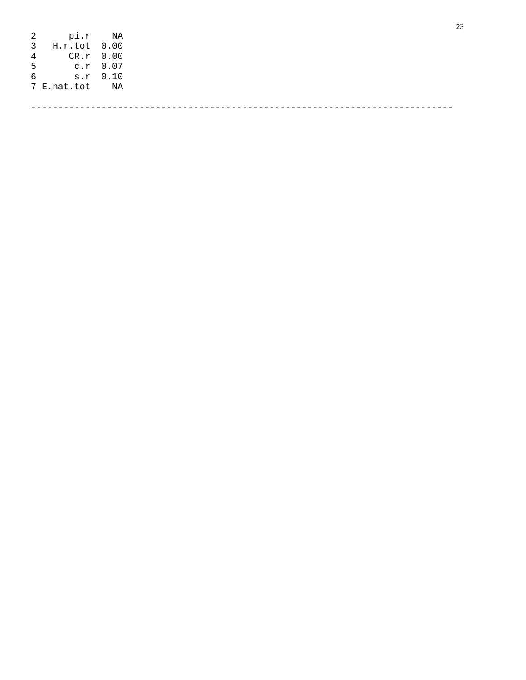| 2 pi.r NA      |  |
|----------------|--|
| 3 H.r.tot 0.00 |  |
| 4 CR.r 0.00    |  |
| 5 c.r 0.07     |  |
| 6 s.r 0.10     |  |
| 7 E.nat.tot NA |  |
|                |  |
|                |  |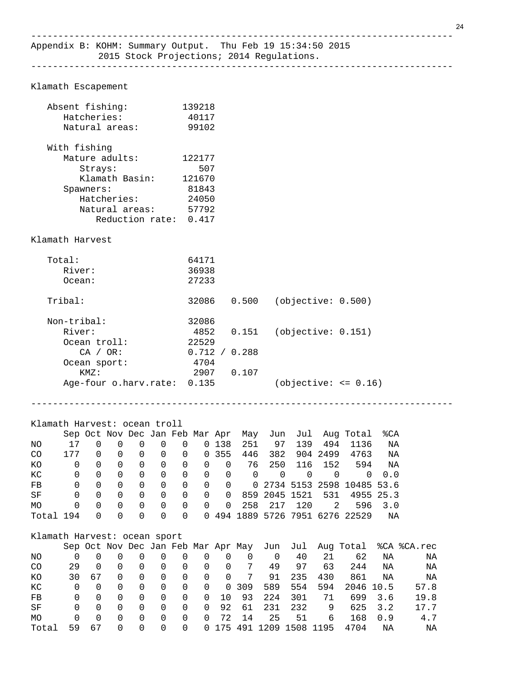Klamath Escapement

| Absent fishing:<br>Hatcheries: | 139218<br>40117 |  |
|--------------------------------|-----------------|--|
| Natural areas:                 | 99102           |  |
| With fishing                   |                 |  |
| Mature adults:                 | 122177          |  |
| Strays:                        | 507             |  |
| Klamath Basin:                 | 121670          |  |
| Spawners:                      | 81843           |  |
| Hatcheries:                    | 24050           |  |
| Natural areas:                 | 57792           |  |
| Reduction rate: 0.417          |                 |  |
| Klamath Harvest                |                 |  |
| Total:                         | 64171           |  |
| River:                         | 36938           |  |
| Ocean:                         | 27233           |  |

------------------------------------------------------------------------------

| Tribal:                     | 32086         | 0.500 | (objective: 0.500)     |  |
|-----------------------------|---------------|-------|------------------------|--|
| Non-tribal:                 | 32086         |       |                        |  |
| River:                      | 4852          | 0.151 | (objective: 0.151)     |  |
| Ocean troll:                | 22529         |       |                        |  |
| CA / OR:                    | 0.712 / 0.288 |       |                        |  |
| Ocean sport:                | 4704          |       |                        |  |
| KMZ:                        | 2907          | 0.107 |                        |  |
| Age-four o.harv.rate: 0.135 |               |       | $(objective: =& 0.16)$ |  |
|                             |               |       |                        |  |

------------------------------------------------------------------------------

# Klamath Harvest: ocean troll

|           |     |          |          |          | Sep Oct Nov Dec Jan Feb Mar Apr |                |          |                |     |               |     |          | May Jun Jul Aug-Total           | %CA |
|-----------|-----|----------|----------|----------|---------------------------------|----------------|----------|----------------|-----|---------------|-----|----------|---------------------------------|-----|
| ΝO        |     |          |          |          | $\Omega$                        | 0              |          | 0 138          | 251 | 97            | 139 | 494      | 1136                            | ΝA  |
| CO        | 177 |          | 0        | 0        | $\Omega$                        | $\overline{0}$ |          | 0 355          |     | 446 382       |     | 904 2499 | 4763                            | ΝA  |
| КO        | 0   | $\Omega$ | 0        | $\Omega$ | - 0                             | 0              | $\Omega$ | - 0            | 76  | 250           | 116 | 152      | 594                             | ΝA  |
| КC        |     |          | $\Omega$ | 0        | 0                               | 0              | $\Omega$ | - 0            | 0   | - 0           | 0   |          | 0                               | 0.0 |
| FB        | 0   |          | $\Omega$ | 0        | 0                               | 0              | $\Omega$ | $\overline{0}$ |     |               |     |          | 0 2734 5153 2598 10485 53.6     |     |
| SF        | 0   |          | $\Omega$ | 0        | - 0                             | $\Omega$       | $\Omega$ | $\Omega$       |     | 859 2045 1521 |     | 531      | 4955 25.3                       |     |
| <b>MO</b> | 0   | $\Omega$ | $\Omega$ | 0        | - 0                             | $\Omega$       | $\Omega$ | $\Omega$       |     | 258 217       | 120 | 2        | 596                             | 3.O |
| Total 194 |     | $\Omega$ | $\Omega$ | 0        | $\Omega$                        | $\Omega$       |          |                |     |               |     |          | 0 494 1889 5726 7951 6276 22529 | ΝA  |

# Klamath Harvest: ocean sport

|                |              |          |          |          |          |                |                |                          |    |           |               |                          |           |         | Sep Oct Nov Dec Jan Feb Mar Apr May Jun Jul Aug Total %CA %CA.rec |
|----------------|--------------|----------|----------|----------|----------|----------------|----------------|--------------------------|----|-----------|---------------|--------------------------|-----------|---------|-------------------------------------------------------------------|
| NO.            |              |          |          | O        | $\Omega$ | $\Omega$       | 0              | 0                        | 0  | $\Omega$  | 40            | 21                       | 62        | ΝA      | NA                                                                |
| C <sub>O</sub> | 29           | $\Omega$ | 0        | 0        | 0        | -0             | -0             | - 0                      | 7  | 49        | 97            | 63                       | 244       | ΝA      | ΝA                                                                |
| <b>KO</b>      | 30.          | 67       | $\Omega$ | 0        | 0        | - 0            | $\overline{0}$ | $\overline{\phantom{0}}$ | 7  | 91        | 235           | 430                      | 861       | ΝA      | ΝA                                                                |
| КC             | 0            | 0        | 0        | 0        | 0        | - 0            | $\overline{0}$ |                          |    | 0 309 589 | 554           | 594                      | 2046 10.5 |         | 57.8                                                              |
| FB             | <sup>n</sup> | 0        | 0        | 0        | 0        | 0              | 0              | 10                       |    | 93 224    | 301           | 71                       |           | 699 3.6 | 19.8                                                              |
| SF             | 0            | $\Omega$ | 0        | 0        | 0        | 0              | $\Omega$       |                          |    |           | 92 61 231 232 | 9                        |           | 625 3.2 | 17.7                                                              |
| <b>MO</b>      | 0            | $\Omega$ | 0        | 0        | 0        | - 0            | $\Omega$       | 72                       | 14 | 25        | 51            | 6                        | 168       | 0.9     | 4.7                                                               |
| Total          | 59.          | 67       | $\Omega$ | $\Omega$ | $\Omega$ | $\overline{0}$ |                |                          |    |           |               | 0 175 491 1209 1508 1195 | 4704      | ΝA      | NA                                                                |
|                |              |          |          |          |          |                |                |                          |    |           |               |                          |           |         |                                                                   |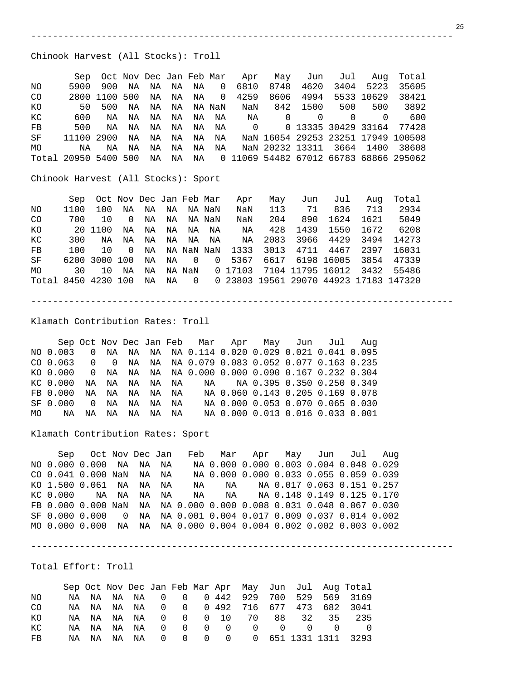Chinook Harvest (All Stocks): Troll

|     |                      |               |    |    |    |    |                               | Sep Oct Nov Dec Jan Feb Mar Apr |      | May Jun Jul Auq |          |            | Total                                     |
|-----|----------------------|---------------|----|----|----|----|-------------------------------|---------------------------------|------|-----------------|----------|------------|-------------------------------------------|
| NO. | 5900                 | 900           | ΝA | NA | NA | NA | $\overline{0}$                | 6810                            | 8748 | 4620            |          | 3404 5223  | 35605                                     |
| CO. |                      | 2800 1100 500 |    | NA | NA | NA | $\Omega$<br><b>Contractor</b> | 4259                            | 8606 | 4994            |          | 5533 10629 | 38421                                     |
| KO  | 50                   | 500           | NA | NA | NA |    |                               | NA NaN     NaN                  |      | 842 1500        | 500      | 500        | 3892                                      |
| KC  | 600                  | NA            | NA | NA | NA |    |                               | NANANA O                        |      | $\Omega$        | $\Omega$ | $\cap$     | 600                                       |
| FB  | 500                  | NA            | NA | ΝA | NA | NA | NA                            |                                 |      |                 |          |            |                                           |
| SF  | 11100 2900 NA        |               |    | ΝA | NA | NA | NA                            |                                 |      |                 |          |            | NaN 16054 29253 23251 17949 100508        |
| MO  | ΝA                   | NA            | ΝA | ΝA | ΝA | NA | NA                            |                                 |      |                 |          |            | NaN 20232 13311 3664 1400 38608           |
|     | Total 20950 5400 500 |               |    | NA | NA |    |                               |                                 |      |                 |          |            | NA 0 11069 54482 67012 66783 68866 295062 |
|     |                      |               |    |    |    |    |                               |                                 |      |                 |          |            |                                           |

------------------------------------------------------------------------------

Chinook Harvest (All Stocks): Sport

|                     | Sep  | Oct Nov Dec Jan Feb Mar |                |           |              |    |                                 | Apr                | May  | Jun  | Jul             | Aug  | Total                                    |  |
|---------------------|------|-------------------------|----------------|-----------|--------------|----|---------------------------------|--------------------|------|------|-----------------|------|------------------------------------------|--|
| NO.                 | 1100 | 100                     | NA             |           | NA NA NA NaN |    |                                 | NaN                | 113  | 71   | 836             | 713  | 2934                                     |  |
| CO.                 | 700  | 10                      | $\overline{0}$ | NA        | NA           |    | NA NaN                          | NaN                | 204  | 890  | 1624            | 1621 | 5049                                     |  |
| КO                  |      | 20 1100                 | NA             | NA        | NA           |    | NA NA                           | NA                 | 428  | 1439 | 1550            | 1672 | 6208                                     |  |
| КC                  | 300  | NA                      | NA             | NA        | NA           | NA | NA                              | ΝA                 | 2083 |      | 3966 4429       | 3494 | 14273                                    |  |
| FB                  | 100  | 1 O                     | $\overline{0}$ |           |              |    |                                 | NA NA NaN NaN 1333 | 3013 |      | 4711 4467       | 2397 | 16031                                    |  |
| SF                  |      | 6200 3000 100           |                | <b>NA</b> | NA           |    | $\begin{matrix}0&0\end{matrix}$ | 5367               |      |      | 6617 6198 16005 | 3854 | 47339                                    |  |
| MO                  | 30   | 10                      | ΝA             | NA        |              |    |                                 | NA NaN 017103      |      |      |                 |      | 7104 11795 16012 3432 55486              |  |
| Total 8450 4230 100 |      |                         |                | NA        | ΝA           |    |                                 |                    |      |      |                 |      | 0 0 23803 19561 29070 44923 17183 147320 |  |

------------------------------------------------------------------------------

Klamath Contribution Rates: Troll

 Sep Oct Nov Dec Jan Feb Mar Apr May Jun Jul Aug NO 0.003 0 NA NA NA NA 0.114 0.020 0.029 0.021 0.041 0.095 CO 0.063 0 0 NA NA NA 0.079 0.083 0.052 0.077 0.163 0.235 KO 0.000 0 NA NA NA NA 0.000 0.000 0.090 0.167 0.232 0.304 KC 0.000 NA NA NA NA NA NA NA 0.395 0.350 0.250 0.349 FB 0.000 NA NA NA NA NA NA 0.060 0.143 0.205 0.169 0.078 0 NA NA NA NA NA 0.000 0.053 0.070 0.065 0.030 MO NA NA NA NA NA NA NA 0.000 0.013 0.016 0.033 0.001

Klamath Contribution Rates: Sport

 Sep Oct Nov Dec Jan Feb Mar Apr May Jun Jul Aug NO 0.000 0.000 NA NA NA NA 0.000 0.000 0.003 0.004 0.048 0.029 CO 0.041 0.000 NaN NA NA NA 0.000 0.000 0.033 0.055 0.059 0.039 KO 1.500 0.061 NA NA NA NA NA NA 0.017 0.063 0.151 0.257 KC 0.000 NA NA NA NA NA NA NA 0.148 0.149 0.125 0.170 FB 0.000 0.000 NaN NA NA 0.000 0.000 0.008 0.031 0.048 0.067 0.030 SF 0.000 0.000 0 NA NA 0.001 0.004 0.017 0.009 0.037 0.014 0.002 MO 0.000 0.000 NA NA NA 0.000 0.004 0.004 0.002 0.002 0.003 0.002

------------------------------------------------------------------------------

Total Effort: Troll

|     |  |                |  |  |                                     |          |     |          | Sep Oct Nov Dec Jan Feb Mar Apr May Jun Jul Aug Total |
|-----|--|----------------|--|--|-------------------------------------|----------|-----|----------|-------------------------------------------------------|
| NO. |  |                |  |  |                                     |          |     |          | NA NA NA NA 000 442 929 700 529 569 3169              |
| CO. |  |                |  |  |                                     |          |     |          | NA NA NA NA 000 0492 716 677 473 682 3041             |
| KO. |  |                |  |  | NANANANA 000 1070                   |          |     | 88 32 35 | 235                                                   |
| КC  |  | NANANANANA 000 |  |  | $\begin{matrix} 0 & 0 \end{matrix}$ | $\sim$ 0 | (1) |          |                                                       |
| FB  |  |                |  |  |                                     |          |     |          | NA NA NA NA 000000651133113113293                     |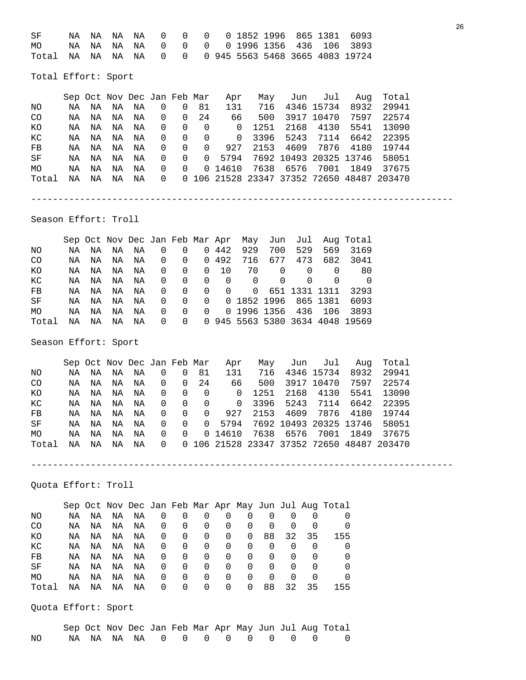| SF                                                    |  |  |  |  |  |  | NA NA NA NA 000001852199686513816093 |
|-------------------------------------------------------|--|--|--|--|--|--|--------------------------------------|
| MO NA NA NA NA 00000199613564361063893                |  |  |  |  |  |  |                                      |
| Total NA NA NA NA 0 0 0 945 5563 5468 3665 4083 19724 |  |  |  |  |  |  |                                      |

Total Effort: Sport

|                 |    |    | Sep Oct Nov Dec Jan Feb Mar |    |          |          |                | Apr            | May  |                        | Jun Jul    | Aug  | Total                                      |
|-----------------|----|----|-----------------------------|----|----------|----------|----------------|----------------|------|------------------------|------------|------|--------------------------------------------|
| NO              | NA | NA | NA                          | ΝA | 0        | $\Omega$ | 81             | 131            | 716  |                        | 4346 15734 | 8932 | 29941                                      |
| CO <sub>.</sub> | NA | NA | ΝA                          | ΝA | 0        | $\Omega$ | 24             | 66             | 500  |                        | 3917 10470 | 7597 | 22574                                      |
| КO              | NA | NA | ΝA                          | ΝA | 0        | 0        | $\overline{0}$ | $\overline{0}$ | 1251 |                        | 2168 4130  | 5541 | 13090                                      |
| КC              | NA | NA | ΝA                          | ΝA | 0        | $\Omega$ | - 0            | $\Omega$       | 3396 |                        | 5243 7114  | 6642 | 22395                                      |
| $_{\rm FB}$     | NA | NA | ΝA                          | ΝA | $\Omega$ | $\Omega$ | $\Omega$       | 927            | 2153 | 4609                   | 7876       | 4180 | 19744                                      |
| SF              | NA | ΝA | ΝA                          | ΝA | $\Omega$ | $\Omega$ | $\Omega$       | 5794           |      | 7692 10493 20325 13746 |            |      | 58051                                      |
| <b>MO</b>       | NA | ΝA | ΝA                          | ΝA | $\Omega$ | $\Omega$ |                | 0 14610        |      | 7638 6576 7001         |            | 1849 | 37675                                      |
| Total           | ΝA | ΝA | ΝA                          | ΝA | $\Omega$ |          |                |                |      |                        |            |      | 0 106 21528 23347 37352 72650 48487 203470 |
|                 |    |    |                             |    |          |          |                |                |      |                        |            |      |                                            |

------------------------------------------------------------------------------

Season Effort: Troll

|                 |    |    |    |         |                          |                |                |             |                |                |                        |     | Sep Oct Nov Dec Jan Feb Mar Apr May Jun Jul Aug Total |
|-----------------|----|----|----|---------|--------------------------|----------------|----------------|-------------|----------------|----------------|------------------------|-----|-------------------------------------------------------|
| NO.             | NA | NA | NA | NA      | $\overline{\phantom{0}}$ | 0              |                | 0 442       | 929            | 700            | 529                    | 569 | 3169                                                  |
| CO <sub>.</sub> | NA | NA | NA | NA      |                          |                |                |             |                |                | 0 0 0 492 716 677 473  |     | 682 3041                                              |
| КO              | NA | NA | NA | NA      | $\overline{0}$           | $\overline{0}$ |                | $0\quad 10$ | 70             | $\overline{0}$ | 0                      | 0   | -80                                                   |
| KC              | NA | NA |    | NA NA 0 |                          | $\overline{0}$ |                | $0\qquad 0$ | $\overline{0}$ | $\Omega$       | $\Omega$               |     | $\overline{0}$                                        |
| FB              | NA | NA | NA | NA      | $\overline{\phantom{0}}$ | $\overline{0}$ | $\overline{0}$ |             |                |                | 0 0 651 1331 1311      |     | 3293                                                  |
| SF              | NA | NA | NA | NA      | $\overline{0}$           | $\Omega$       |                |             |                |                | 0 0 1852 1996 865 1381 |     | 6093                                                  |
| MO              | NA | NA | NA | NA      | $\overline{0}$           | $\overline{0}$ | $\Omega$       |             |                |                | 0 1996 1356 436 106    |     | 3893                                                  |
| Total           | NA | NA | NA | NA      |                          |                |                |             |                |                |                        |     | 0 0 0 945 5563 5380 3634 4048 19569                   |

Season Effort: Sport

|                 |    |    |    |    |          |                | Sep Oct Nov Dec Jan Feb Mar | Apr            |      | May Jun Jul         |            | Aug                           | Total                                      |
|-----------------|----|----|----|----|----------|----------------|-----------------------------|----------------|------|---------------------|------------|-------------------------------|--------------------------------------------|
| NO.             | ΝA | NA | NA | ΝA | 0        | 0              | 81                          | 131            | 716  |                     | 4346 15734 | 8932                          | 29941                                      |
| CO <sub>.</sub> | ΝA | NA | NA | NA | 0        | 0              | 24                          | 66             | 500  |                     | 3917 10470 | 7597                          | 22574                                      |
| KО              | ΝA | ΝA | NA | ΝA | 0        | $\overline{0}$ | $\Omega$                    | $\overline{0}$ | 1251 |                     | 2168 4130  | 5541                          | 13090                                      |
| KC              | NA | NA | NA | ΝA | 0        | $\Omega$       | $\Omega$                    | $\overline{0}$ |      | 3396 5243 7114      |            | 6642                          | 22395                                      |
| FB              | NA | ΝA | NA | ΝA | $\Omega$ | $\Omega$       | $\Omega$                    | 927            | 2153 |                     | 4609 7876  | 4180                          | 19744                                      |
| SF              | NA | NA | NA | ΝA | 0        | $\Omega$       |                             |                |      |                     |            | 0 5794 7692 10493 20325 13746 | 58051                                      |
| MO              | NA | NA | NA | NA | 0        | $\Omega$       |                             | 0 14610        |      | 7638 6576 7001 1849 |            |                               | 37675                                      |
| Total           | NA | NA | NA | ΝA | $\Omega$ |                |                             |                |      |                     |            |                               | 0 106 21528 23347 37352 72650 48487 203470 |
|                 |    |    |    |    |          |                |                             |                |      |                     |            |                               |                                            |

------------------------------------------------------------------------------

Quota Effort: Troll

|           |    |    |    |    |   |          |          |          |   |          |          |    | Sep Oct Nov Dec Jan Feb Mar Apr May Jun Jul Aug Total |
|-----------|----|----|----|----|---|----------|----------|----------|---|----------|----------|----|-------------------------------------------------------|
| NO.       | NA | NA | NA | ΝA | 0 | 0        | O        |          |   |          |          |    | $\Omega$                                              |
| CO        | NA | NA | NA | NA | 0 | $\Omega$ | 0        | $\Omega$ | 0 | $\Omega$ | $\Omega$ |    | $\Omega$                                              |
| KO.       | NA | ΝA | NA | NA | 0 | 0        | 0        | 0        | 0 | 88       | 32       | 35 | 155                                                   |
| КC        | NA | NA | NA | NA | 0 | 0        | 0        | 0        | 0 | 0        | 0        | 0  | 0                                                     |
| FB        | NA | NA | NA | NA | 0 | 0        | 0        | 0        | 0 | 0        | 0        | 0  | 0                                                     |
| SF        | NA | NA | NA | NA | 0 | 0        | 0        | 0        | 0 | $\Omega$ | 0        | 0  | 0                                                     |
| <b>MO</b> | NA | ΝA | ΝA | NA | 0 | 0        | 0        | 0        | 0 | 0        | 0        | 0  | 0                                                     |
| Total     | ΝA | NA | ΝA | ΝA | 0 | 0        | $\Omega$ | $\Omega$ | 0 | 88       | 32.      | 35 | 155                                                   |

Quota Effort: Sport

|    |  |  |  |  |  |  | Sep Oct Nov Dec Jan Feb Mar Apr May Jun Jul Aug Total |
|----|--|--|--|--|--|--|-------------------------------------------------------|
| NO |  |  |  |  |  |  | NANANANA 0000000000                                   |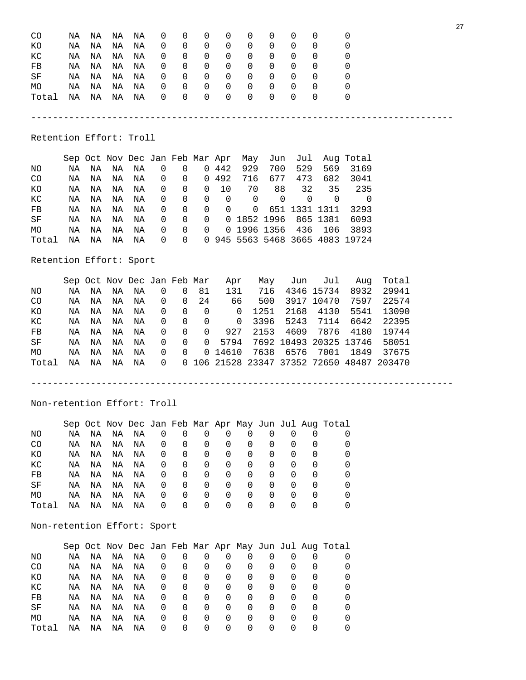| CO                      | ΝA | ΝA | ΝA                          | ΝA | 0           | 0           | 0              | 0                               | 0              | 0        |             | 0           | 0                               | 0                      |                                            |  |
|-------------------------|----|----|-----------------------------|----|-------------|-------------|----------------|---------------------------------|----------------|----------|-------------|-------------|---------------------------------|------------------------|--------------------------------------------|--|
| КO                      | ΝA | ΝA | ΝA                          | ΝA | 0           | 0           | 0              | 0                               | 0              | 0        |             | 0           | 0                               | 0                      |                                            |  |
| KC                      | NA | NA | ΝA                          | ΝA | 0           | 0           | $\mathbf 0$    | $\mathbf{0}$                    | $\mathbf 0$    | 0        |             | 0           | $\mathbf 0$                     | 0                      |                                            |  |
| FB                      | ΝA | ΝA | NA                          | NA | 0           | 0           | $\mathbf 0$    | 0                               | $\mathbf 0$    | 0        |             | 0           | 0                               | 0                      |                                            |  |
| SF                      | NA | ΝA | ΝA                          | ΝA | 0           | 0           | $\mathbf 0$    | $\mathbf 0$                     | $\mathbf 0$    | 0        |             | 0           | 0                               | 0                      |                                            |  |
| MO                      | NA | NA | NA                          | NA | 0           | $\Omega$    | $\Omega$       | $\Omega$                        | $\Omega$       | $\Omega$ |             | $\Omega$    | $\Omega$                        | 0                      |                                            |  |
| Total                   | ΝA | ΝA | NA                          | NA | $\Omega$    | $\Omega$    | 0              | $\Omega$                        | $\Omega$       | $\Omega$ |             | $\Omega$    | $\Omega$                        | 0                      |                                            |  |
|                         |    |    |                             |    |             |             |                |                                 |                |          |             |             |                                 |                        |                                            |  |
|                         |    |    |                             |    |             |             |                |                                 |                |          |             |             |                                 |                        |                                            |  |
|                         |    |    |                             |    |             |             |                |                                 |                |          |             |             |                                 |                        |                                            |  |
| Retention Effort: Troll |    |    |                             |    |             |             |                |                                 |                |          |             |             |                                 |                        |                                            |  |
|                         |    |    |                             |    |             |             |                |                                 |                |          |             |             |                                 |                        |                                            |  |
|                         |    |    |                             |    |             |             |                | Sep Oct Nov Dec Jan Feb Mar Apr | May            |          | Jun         | Jul         |                                 | Aug Total              |                                            |  |
| NO                      | NA | NA | ΝA                          | ΝA | 0           | $\Omega$    |                | 0.442                           | 929            |          | 700         | 529         | 569                             | 3169                   |                                            |  |
| $_{\rm CO}$             | NA | NA | ΝA                          | NA | 0           | 0           | $\mathbf 0$    | 492                             | 716            |          | 677         | 473         | 682                             | 3041                   |                                            |  |
| ΚO                      | ΝA | ΝA | ΝA                          | ΝA | 0           | 0           | $\mathbf 0$    | 10                              | 70             |          | 88          | 32          | 35                              | 235                    |                                            |  |
| ${\tt KC}$              | ΝA | ΝA | ΝA                          | ΝA | 0           | $\mathsf 0$ | $\mathsf{O}$   | $\mathbf 0$                     | $\overline{0}$ |          | $\mathbf 0$ | $\mathbf 0$ | $\mathbf 0$                     | $\overline{0}$         |                                            |  |
| FB                      | ΝA | ΝA | ΝA                          | ΝA | 0           | 0           | $\mathbf 0$    | $\Omega$                        | $\mathbf 0$    |          |             |             | 651 1331 1311                   | 3293                   |                                            |  |
| SF                      | NA | ΝA | ΝA                          | ΝA | 0           | 0           | $\mathbf 0$    |                                 | 0 1852 1996    |          |             |             | 865 1381                        | 6093                   |                                            |  |
| MO                      | NA | NA | <b>NA</b>                   | NA | 0           | $\mathbf 0$ | $\mathbf 0$    |                                 | 0 1996 1356    |          |             | 436         | 106                             | 3893                   |                                            |  |
| Total                   | ΝA | ΝA | ΝA                          | NA | 0           | $\Omega$    |                |                                 |                |          |             |             | 0 945 5563 5468 3665 4083 19724 |                        |                                            |  |
|                         |    |    |                             |    |             |             |                |                                 |                |          |             |             |                                 |                        |                                            |  |
| Retention Effort: Sport |    |    |                             |    |             |             |                |                                 |                |          |             |             |                                 |                        |                                            |  |
|                         |    |    |                             |    |             |             |                |                                 |                |          |             |             |                                 |                        |                                            |  |
|                         |    |    | Sep Oct Nov Dec Jan Feb Mar |    |             |             |                |                                 | Apr            | May      |             | Jun         | Jul                             | Aug                    | Total                                      |  |
| NO                      | ΝA | ΝA | ΝA                          | ΝA | 0           | 0           | 81             |                                 | 131            | 716      |             |             | 4346 15734                      | 8932                   | 29941                                      |  |
| $_{\rm CO}$             | NA | NA | ΝA                          | NA | 0           | 0           | 24             |                                 | 66             | 500      |             |             | 3917 10470                      | 7597                   | 22574                                      |  |
| КO                      | ΝA | NA | NA                          | NA | 0           | 0           | $\overline{0}$ |                                 | $\overline{0}$ | 1251     |             | 2168        | 4130                            | 5541                   | 13090                                      |  |
| KC                      | NA | NA | ΝA                          | ΝA | 0           | $\mathbf 0$ | $\mathbf 0$    |                                 | $\mathbf 0$    | 3396     |             | 5243        | 7114                            | 6642                   | 22395                                      |  |
| FB                      | ΝA | ΝA | NA                          | NA | 0           | $\mathbf 0$ | $\mathbf 0$    |                                 | 927            | 2153     |             | 4609        | 7876                            | 4180                   | 19744                                      |  |
| $\rm SF$                | ΝA | ΝA | ΝA                          | ΝA | $\mathsf 0$ | $\mathsf 0$ | $\overline{0}$ | 5794                            |                |          |             |             |                                 | 7692 10493 20325 13746 | 58051                                      |  |
| МO                      | ΝA | ΝA | ΝA                          | ΝA | 0           | $\mathbf 0$ |                | 0 14610                         |                | 7638     |             | 6576        | 7001                            | 1849                   | 37675                                      |  |
| Total                   | ΝA | ΝA | ΝA                          | NA | 0           |             |                |                                 |                |          |             |             |                                 |                        | 0 106 21528 23347 37352 72650 48487 203470 |  |
|                         |    |    |                             |    |             |             |                |                                 |                |          |             |             |                                 |                        |                                            |  |
|                         |    |    |                             |    |             |             |                |                                 |                |          |             |             |                                 |                        |                                            |  |

27

Non-retention Effort: Troll

|                |    |    |    |    |          |          |          |          |          |                  |          |                  | Sep Oct Nov Dec Jan Feb Mar Apr May Jun Jul Aug Total |
|----------------|----|----|----|----|----------|----------|----------|----------|----------|------------------|----------|------------------|-------------------------------------------------------|
| ΝO             | ΝA | NA | NA | ΝA | 0        | $\Omega$ | O        | O        | O        | O                |          |                  |                                                       |
| CO.            | ΝA | ΝA | ΝA | NA | 0        | $\Omega$ | $\Omega$ | $\Omega$ | $\Omega$ | $\left( \right)$ |          |                  |                                                       |
| КO             | ΝA | ΝA | ΝA | ΝA | 0        | O        | $\Omega$ | $\Omega$ | $\Omega$ | $\left( \right)$ | $\Omega$ |                  |                                                       |
| КC             | ΝA | NA | ΝA | ΝA | 0        | $\Omega$ | $\Omega$ | $\Omega$ | $\Omega$ | O                | O        | $\Omega$         |                                                       |
| F <sub>B</sub> | ΝA | ΝA | ΝA | ΝA | 0        | 0        | 0        | $\Omega$ | 0        | $\Omega$         | $\Omega$ | $\left($         |                                                       |
| SF             | ΝA | ΝA | ΝA | ΝA | 0        | 0        | 0        | 0        | 0        | $\Omega$         | 0        | $\Omega$         |                                                       |
| MO             | ΝA | ΝA | ΝA | ΝA | 0        | 0        | $\Omega$ | 0        | $\Omega$ | $\Omega$         | $\Omega$ | $\left($         |                                                       |
| Total          | ΝA | ΝA | ΝA | ΝA | $\Omega$ | $\Omega$ | $\Omega$ | $\Omega$ | $\Omega$ | $\left( \right)$ | $\cup$   | $\left( \right)$ |                                                       |

Non-retention Effort: Sport

|       |    |    |    |    |                  |          |                  |                  |                  |                  |                  |                  | Sep Oct Nov Dec Jan Feb Mar Apr May Jun Jul Aug Total |
|-------|----|----|----|----|------------------|----------|------------------|------------------|------------------|------------------|------------------|------------------|-------------------------------------------------------|
| ΝO    | NA | ΝA | ΝA | ΝA | U                | O        | O                |                  |                  | O                |                  |                  |                                                       |
| CO.   | NA | ΝA | ΝA | ΝA | $\Omega$         | $\Omega$ | O                | $\Omega$         | 0                | O                |                  |                  |                                                       |
| КO    | NA | ΝA | ΝA | ΝA | 0                | O        | O                | O                | 0                | $\left( \right)$ | $\Omega$         | $\Omega$         |                                                       |
| КC    | NA | ΝA | ΝA | ΝA | 0                | $\Omega$ | $\Omega$         | O                | 0                | O                | O                | 0                |                                                       |
| FB    | NA | ΝA | ΝA | ΝA | 0                | 0        | O                | 0                | 0                | $\Omega$         | $\Omega$         | 0                |                                                       |
| SF    | ΝA | ΝA | ΝA | ΝA | 0                | 0        | O                | 0                | 0                | $\Omega$         | 0                | 0                |                                                       |
| MO    | ΝA | ΝA | ΝA | ΝA | $\Omega$         | 0        | O                | 0                | 0                | $\Omega$         | $\Omega$         | 0                |                                                       |
| Total | ΝA | ΝA | ΝA | ΝA | $\left( \right)$ | $\Omega$ | $\left( \right)$ | $\left( \right)$ | $\left( \right)$ | $\left( \right)$ | $\left( \right)$ | $\left( \right)$ |                                                       |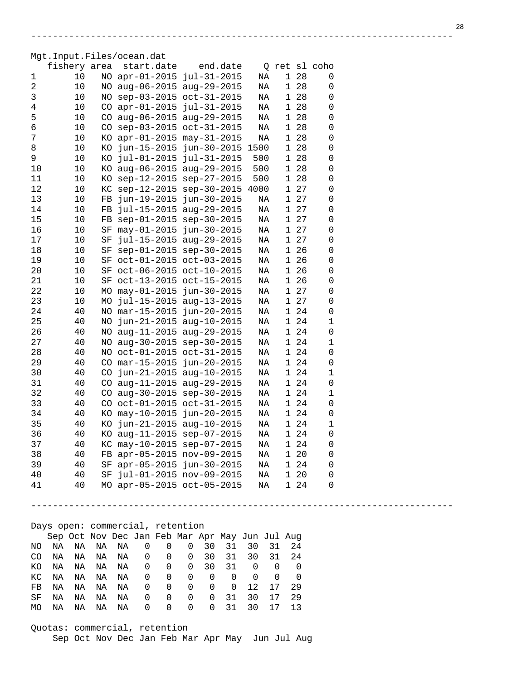Mgt.Input.Files/ocean.dat

|     | fishery area                                    |     |                                 | start.date                 |             | end.date                      |                          |    |                    | Q ret sl coho |   |  |
|-----|-------------------------------------------------|-----|---------------------------------|----------------------------|-------------|-------------------------------|--------------------------|----|--------------------|---------------|---|--|
| 1   | 10                                              |     | NO apr-01-2015 jul-31-2015      |                            |             |                               | ΝA                       |    | 1 28               |               | 0 |  |
| 2   | 10                                              |     | NO aug-06-2015 aug-29-2015      |                            |             |                               | ΝA                       |    | 28<br>$\mathbf{1}$ |               | 0 |  |
| 3   | 10                                              |     | NO sep-03-2015 oct-31-2015      |                            |             |                               | ΝA                       |    | 28<br>$\mathbf{1}$ |               | 0 |  |
| 4   | 10                                              |     | CO apr-01-2015 jul-31-2015      |                            |             |                               | ΝA                       |    | 28<br>1            |               | 0 |  |
| 5   | 10                                              |     | CO aug-06-2015 aug-29-2015      |                            |             |                               | ΝA                       |    | 28<br>$\mathbf 1$  |               | 0 |  |
| 6   | 10                                              |     | CO sep-03-2015 oct-31-2015      |                            |             |                               | ΝA                       |    | 28<br>1            |               | 0 |  |
| 7   | 10                                              |     | KO apr-01-2015 may-31-2015      |                            |             |                               | ΝA                       |    | 28<br>$\mathbf{1}$ |               | 0 |  |
| 8   | 10                                              |     | KO jun-15-2015 jun-30-2015 1500 |                            |             |                               |                          |    | 28<br>1            |               | 0 |  |
| 9   | 10                                              |     | KO jul-01-2015 jul-31-2015      |                            |             |                               | 500                      |    | 28<br>1            |               | 0 |  |
| 10  | 10                                              |     | KO aug-06-2015 aug-29-2015      |                            |             |                               | 500                      |    | 28<br>1            |               | 0 |  |
| 11  | 10                                              |     | KO sep-12-2015 sep-27-2015      |                            |             |                               | 500                      |    | 28<br>1            |               | 0 |  |
| 12  | 10                                              |     | KC sep-12-2015 sep-30-2015 4000 |                            |             |                               |                          |    | 27<br>1            |               | 0 |  |
|     |                                                 |     | FB jun-19-2015 jun-30-2015      |                            |             |                               |                          |    | 27                 |               | 0 |  |
| 13  | 10                                              |     |                                 |                            |             |                               | ΝA                       |    | 1                  |               |   |  |
| 14  | 10                                              |     | FB jul-15-2015 aug-29-2015      |                            |             |                               | ΝA                       |    | 27<br>1            |               | 0 |  |
| 15  | 10                                              |     | FB sep-01-2015 sep-30-2015      |                            |             |                               | ΝA                       |    | 27<br>1            |               | 0 |  |
| 16  | 10                                              |     | SF may-01-2015 jun-30-2015      |                            |             |                               | ΝA                       |    | 27<br>1            |               | 0 |  |
| 17  | 10                                              | SF  |                                 | jul-15-2015 aug-29-2015    |             |                               | ΝA                       |    | 27<br>1            |               | 0 |  |
| 18  | 10                                              |     | SF sep-01-2015 sep-30-2015      |                            |             |                               | ΝA                       |    | 26<br>1            |               | 0 |  |
| 19  | 10                                              |     | SF oct-01-2015 oct-03-2015      |                            |             |                               | ΝA                       |    | 26<br>1            |               | 0 |  |
| 20  | 10                                              |     | SF oct-06-2015 oct-10-2015      |                            |             |                               | ΝA                       |    | 1 26               |               | 0 |  |
| 21  | 10                                              |     | SF oct-13-2015 oct-15-2015      |                            |             |                               | ΝA                       |    | 1 26               |               | 0 |  |
| 22  | 10                                              |     | MO may-01-2015 jun-30-2015      |                            |             |                               | ΝA                       |    | 1 27               |               | 0 |  |
| 23  | 10                                              |     | MO jul-15-2015 aug-13-2015      |                            |             |                               | ΝA                       |    | 1 27               |               | 0 |  |
| 24  | 40                                              |     | NO mar-15-2015 jun-20-2015      |                            |             |                               | ΝA                       |    | 1 24               |               | 0 |  |
| 25  | 40                                              |     | NO jun-21-2015 aug-10-2015      |                            |             |                               | ΝA                       |    | 1 24               |               | 1 |  |
| 26  | 40                                              |     | NO aug-11-2015 aug-29-2015      |                            |             |                               | ΝA                       |    | 1 24               |               | 0 |  |
| 27  | 40                                              |     | NO aug-30-2015 sep-30-2015      |                            |             |                               | ΝA                       |    | 1 24               |               | 1 |  |
| 28  | 40                                              |     | NO oct-01-2015 oct-31-2015      |                            |             |                               | ΝA                       |    | 1 24               |               | 0 |  |
| 29  | 40                                              |     | CO mar-15-2015 jun-20-2015      |                            |             |                               | ΝA                       |    | 1 24               |               | 0 |  |
| 30  | 40                                              |     | CO jun-21-2015 aug-10-2015      |                            |             |                               | ΝA                       |    | 1 24               |               | 1 |  |
| 31  | 40                                              |     | CO aug-11-2015 aug-29-2015      |                            |             |                               | ΝA                       |    | 1 24               |               | 0 |  |
| 32  | 40                                              |     | CO aug-30-2015 sep-30-2015      |                            |             |                               | ΝA                       |    | 1 24               |               | 1 |  |
| 33  | 40                                              |     | CO oct-01-2015 oct-31-2015      |                            |             |                               | ΝA                       |    | 1 24               |               | 0 |  |
| 34  | 40                                              |     | KO may-10-2015 jun-20-2015      |                            |             |                               | ΝA                       |    | 1 24               |               | 0 |  |
| 35  | 40                                              | KO. | jun-21-2015 aug-10-2015         |                            |             |                               | ΝA                       |    | 1 24               |               | 1 |  |
| 36  | 40                                              |     | KO aug-11-2015 sep-07-2015      |                            |             |                               | ΝA                       |    | 1 24               |               | 0 |  |
| 37  | 40                                              |     | KC may-10-2015 sep-07-2015      |                            |             |                               | ΝA                       |    | 24<br>1            |               | 0 |  |
| 38  | 40                                              |     | FB apr-05-2015 nov-09-2015      |                            |             |                               | ΝA                       |    | 1 20               |               | 0 |  |
| 39  | 40                                              |     | SF apr-05-2015 jun-30-2015      |                            |             |                               | NA                       |    | 1 24               |               | 0 |  |
|     | 40                                              |     | SF jul-01-2015 nov-09-2015      |                            |             |                               | NA                       |    | 1 20               |               |   |  |
| 40  |                                                 |     |                                 |                            |             |                               |                          |    |                    |               | 0 |  |
| 41  | 40                                              |     | MO apr-05-2015 oct-05-2015      |                            |             |                               | NA                       |    | 1 24               |               | 0 |  |
|     |                                                 |     |                                 |                            |             |                               |                          |    |                    |               |   |  |
|     |                                                 |     |                                 |                            |             |                               |                          |    |                    |               |   |  |
|     | Days open: commercial, retention                |     |                                 |                            |             |                               |                          |    |                    |               |   |  |
|     | Sep Oct Nov Dec Jan Feb Mar Apr May Jun Jul Aug |     |                                 |                            |             |                               |                          |    |                    |               |   |  |
| ΝO  | ΝA<br>ΝA                                        | ΝA  | ΝA                              | $\mathsf 0$<br>$\mathbf 0$ | 0           | 30<br>31                      | 30                       | 31 | 24                 |               |   |  |
| CO  | ΝA<br>ΝA                                        | ΝA  | NA                              | 0<br>0                     | 0           | 30<br>31                      | 30                       | 31 | 24                 |               |   |  |
| ΚO  | ΝA<br>ΝA                                        | ΝA  | ΝA                              | $\overline{0}$<br>0        | 0           | 30<br>31                      | $\overline{\phantom{0}}$ | 0  | $\mathbf 0$        |               |   |  |
| КC  | ΝA<br>ΝA                                        | ΝA  | ΝA                              | 0<br>$\overline{0}$        | 0           | $\mathbf 0$<br>$\overline{0}$ | 0                        | 0  | $\mathbf 0$        |               |   |  |
| FB  | ΝA<br>ΝA                                        | ΝA  | ΝA                              | 0<br>0                     | 0           | 0<br>$\overline{0}$           | 12                       | 17 | 29                 |               |   |  |
| SF  | ΝA<br>ΝA                                        | ΝA  | ΝA                              | 0<br>0                     | $\mathbf 0$ | 31<br>0                       | 30                       | 17 | 29                 |               |   |  |
| MO. | ΝA<br>ΝA                                        | ΝA  | ΝA                              | $\mathbf 0$<br>0           | 0           | 31<br>0                       | 30                       | 17 | 13                 |               |   |  |
|     |                                                 |     |                                 |                            |             |                               |                          |    |                    |               |   |  |
|     | Quotas: commercial, retention                   |     |                                 |                            |             |                               |                          |    |                    |               |   |  |

------------------------------------------------------------------------------

Sep Oct Nov Dec Jan Feb Mar Apr May Jun Jul Aug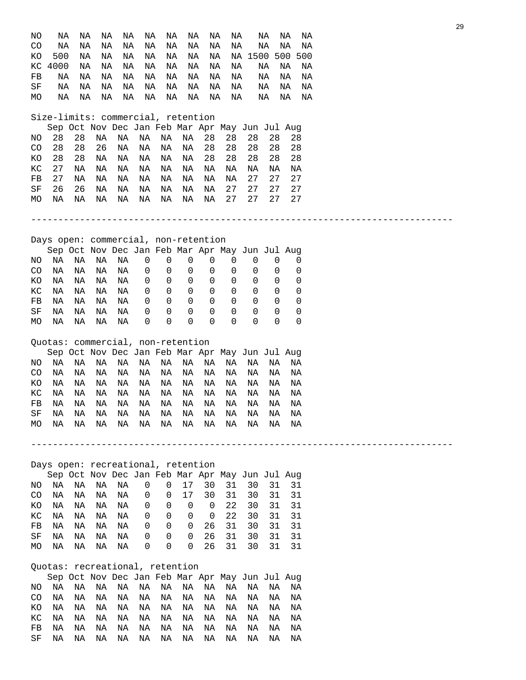| ΝO<br>CO<br><b>KO</b><br>КC<br>FB<br>SF<br>МO | ΝA<br>NA<br>500<br>4000<br>ΝA<br>NA<br>ΝA | ΝA<br>ΝA<br>ΝA<br>ΝA<br>ΝA<br>ΝA<br>ΝA | ΝA<br>ΝA<br>ΝA<br>ΝA<br>ΝA<br>ΝA<br>ΝA | ΝA<br>ΝA<br>ΝA<br>ΝA<br>ΝA<br>ΝA<br>ΝA | NA<br>ΝA<br>ΝA<br>ΝA<br>ΝA<br>ΝA<br>ΝA | ΝA<br>ΝA<br>ΝA<br>ΝA<br>ΝA<br>ΝA<br>ΝA | ΝA<br>ΝA<br>ΝA<br>ΝA<br>ΝA<br>ΝA<br>ΝA<br>Size-limits: commercial, retention | ΝA<br>ΝA<br>ΝA<br>ΝA<br>ΝA<br>ΝA<br>ΝA | NA<br>ΝA<br>ΝA<br>ΝA<br>ΝA<br>ΝA | NA 1500 | ΝA<br>ΝA<br>ΝA<br>ΝA<br>ΝA<br>ΝA | ΝA<br>ΝA<br>500<br>ΝA<br>ΝA<br>ΝA<br>ΝA | ΝA<br>ΝA<br>500<br>ΝA<br>ΝA<br>ΝA<br>ΝA |                 |
|-----------------------------------------------|-------------------------------------------|----------------------------------------|----------------------------------------|----------------------------------------|----------------------------------------|----------------------------------------|------------------------------------------------------------------------------|----------------------------------------|----------------------------------|---------|----------------------------------|-----------------------------------------|-----------------------------------------|-----------------|
|                                               |                                           |                                        |                                        |                                        |                                        |                                        | Sep Oct Nov Dec Jan Feb Mar Apr May Jun Jul Aug                              |                                        |                                  |         |                                  |                                         |                                         |                 |
| NO                                            | 28                                        | 28                                     | ΝA                                     | ΝA                                     | ΝA                                     | ΝA                                     | ΝA                                                                           | 28                                     | 28                               | 28      | 28                               | 28                                      |                                         |                 |
| CO                                            | 28                                        | 28                                     | 26                                     | ΝA                                     | ΝA                                     | ΝA                                     | NA                                                                           | 28                                     | 28                               | 28      | 28                               | 28                                      |                                         |                 |
| KO                                            | 28                                        | 28                                     | ΝA                                     | ΝA                                     | ΝA                                     | ΝA                                     | ΝA                                                                           | 28                                     | 28                               | 28      | 28                               | 28                                      |                                         |                 |
| КC                                            | 27                                        | ΝA                                     | ΝA                                     | ΝA                                     | ΝA                                     | ΝA                                     | ΝA                                                                           | ΝA                                     | ΝA                               | ΝA      | ΝA                               | ΝA                                      |                                         |                 |
| FB                                            | 27                                        | ΝA                                     | ΝA                                     | ΝA                                     | ΝA                                     | ΝA                                     | ΝA                                                                           | ΝA                                     | ΝA                               | 27      | 27                               | 27                                      |                                         |                 |
| SF                                            | 26                                        | 26                                     | ΝA                                     | ΝA                                     | ΝA                                     | ΝA                                     | ΝA                                                                           | ΝA                                     | 27                               | 27      | 27                               | 27                                      |                                         |                 |
| MO                                            | ΝA                                        | ΝA                                     | ΝA                                     | ΝA                                     | ΝA                                     | ΝA                                     | ΝA                                                                           | ΝA                                     | 27                               | 27      | 27                               | 27                                      |                                         |                 |
|                                               |                                           |                                        |                                        |                                        |                                        |                                        |                                                                              |                                        |                                  |         |                                  |                                         |                                         |                 |
|                                               |                                           |                                        |                                        |                                        |                                        |                                        |                                                                              |                                        |                                  |         |                                  |                                         |                                         |                 |
|                                               |                                           |                                        |                                        |                                        |                                        |                                        | Days open: commercial, non-retention                                         |                                        |                                  |         |                                  |                                         |                                         |                 |
|                                               |                                           |                                        |                                        |                                        |                                        |                                        | Sep Oct Nov Dec Jan Feb Mar Apr May Jun Jul Aug                              |                                        |                                  |         |                                  |                                         |                                         |                 |
| NO                                            | ΝA                                        | ΝA                                     | ΝA                                     | ΝA                                     | $\mathsf 0$                            | $\mathsf 0$                            | $\mathbf 0$                                                                  | $\mathbf 0$                            | 0                                | 0       | 0                                | 0                                       |                                         |                 |
| CO                                            | ΝA                                        | ΝA                                     | ΝA                                     | ΝA                                     | 0                                      | 0                                      | 0                                                                            | 0                                      | 0                                | 0       | 0                                | 0                                       |                                         |                 |
| ΚO                                            | ΝA                                        | ΝA                                     | ΝA                                     | ΝA                                     | 0                                      | 0                                      | 0                                                                            | 0                                      | 0                                | 0       | 0                                | 0                                       |                                         |                 |
| КC                                            | ΝA                                        | ΝA                                     | ΝA                                     | ΝA                                     | 0                                      | 0                                      | 0                                                                            | 0                                      | 0                                | 0       | 0                                | 0                                       |                                         |                 |
| FB                                            | ΝA                                        | ΝA                                     | ΝA                                     | ΝA                                     | 0                                      | 0                                      | 0                                                                            | 0                                      | 0                                | 0       | 0                                | 0                                       |                                         |                 |
| SF                                            | ΝA                                        | ΝA                                     | ΝA                                     | ΝA                                     | 0                                      | 0                                      | 0                                                                            | 0                                      | 0                                | 0       | 0                                | 0                                       |                                         |                 |
| МO                                            | ΝA                                        | ΝA                                     | ΝA                                     | ΝA                                     | 0                                      | 0                                      | 0                                                                            | 0                                      | 0                                | 0       | 0                                | 0                                       |                                         |                 |
|                                               |                                           |                                        |                                        |                                        |                                        |                                        | Quotas: commercial, non-retention                                            |                                        |                                  |         |                                  |                                         |                                         |                 |
|                                               |                                           |                                        |                                        |                                        |                                        |                                        | Sep Oct Nov Dec Jan Feb Mar Apr May Jun Jul Aug                              |                                        |                                  |         |                                  |                                         |                                         |                 |
| NO                                            | ΝA                                        | ΝA                                     | ΝA                                     | ΝA                                     | ΝA                                     | ΝA                                     | ΝA                                                                           | ΝA                                     | ΝA                               | ΝA      | ΝA                               | ΝA                                      |                                         |                 |
| CO                                            | ΝA                                        | ΝA                                     | ΝA                                     | ΝA                                     | ΝA                                     | ΝA                                     | NA                                                                           | ΝA                                     | ΝA                               | ΝA      | ΝA                               | ΝA                                      |                                         |                 |
| ΚO                                            | ΝA                                        | ΝA                                     | ΝA                                     | ΝA                                     | ΝA                                     | ΝA                                     | ΝA                                                                           | ΝA                                     | ΝA                               | ΝA      | ΝA                               | ΝA                                      |                                         |                 |
| КC                                            | ΝA                                        | ΝA                                     | ΝA                                     | ΝA                                     | ΝA                                     | ΝA                                     | ΝA                                                                           | ΝA                                     | ΝA                               | ΝA      | ΝA                               | ΝA                                      |                                         |                 |
| FB                                            | ΝA                                        | ΝA                                     | ΝA                                     | ΝA                                     | ΝA                                     | ΝA                                     | ΝA                                                                           | ΝA                                     | ΝA                               | ΝA      | ΝA                               | ΝA                                      |                                         |                 |
| SF                                            | ΝA                                        | NA                                     | NA                                     | <b>NA</b>                              | <b>NA</b>                              | NA                                     | ΝA                                                                           | NA                                     | NA                               | NA      | ΝA                               | ΝA                                      |                                         |                 |
| MO.                                           | NA                                        | NA                                     | ΝA                                     | NA                                     | ΝA                                     | ΝA                                     | NA                                                                           | NA                                     | ΝA                               | ΝA      | ΝA                               | ΝA                                      |                                         |                 |
|                                               |                                           |                                        |                                        |                                        |                                        |                                        |                                                                              |                                        |                                  |         |                                  |                                         |                                         | --------------- |
|                                               |                                           |                                        |                                        |                                        |                                        |                                        |                                                                              |                                        |                                  |         |                                  |                                         |                                         |                 |
|                                               |                                           |                                        |                                        |                                        |                                        |                                        | Days open: recreational, retention                                           |                                        |                                  |         |                                  |                                         |                                         |                 |
|                                               |                                           |                                        |                                        |                                        |                                        |                                        | Sep Oct Nov Dec Jan Feb Mar Apr May Jun Jul Aug                              |                                        |                                  |         |                                  |                                         |                                         |                 |
| NO.                                           | NA                                        | NA                                     | ΝA                                     | NA                                     | 0                                      | 0                                      | 17                                                                           | 30                                     | 31                               | 30      | 31                               | 31                                      |                                         |                 |
| CO                                            | ΝA                                        | ΝA                                     | ΝA                                     | ΝA                                     | 0                                      | 0                                      | 17                                                                           | 30                                     | 31                               | 30      | 31                               | 31                                      |                                         |                 |
| KO                                            | NA                                        | NA                                     | NA                                     | NA                                     | 0                                      | 0                                      | $\mathbf 0$                                                                  | 0                                      | 22                               | 30      | 31                               | 31                                      |                                         |                 |
| КC                                            | ΝA                                        | ΝA                                     | ΝA                                     | NA                                     | 0                                      | 0                                      | 0                                                                            | 0                                      | 22                               | 30      | 31                               | 31                                      |                                         |                 |
| FB                                            | ΝA                                        | ΝA                                     | ΝA                                     | ΝA                                     | 0                                      | 0                                      | $\overline{0}$                                                               | 26                                     | 31                               | 30      | 31                               | 31                                      |                                         |                 |
| SF                                            | ΝA                                        | ΝA                                     | ΝA                                     | ΝA                                     | 0                                      | 0                                      | 0                                                                            | 26                                     | 31                               | 30      | 31                               | 31                                      |                                         |                 |
| MO                                            | ΝA                                        | ΝA                                     | ΝA                                     | ΝA                                     | 0                                      | 0                                      | 0                                                                            | 26                                     | 31                               | 30      | 31                               | 31                                      |                                         |                 |
|                                               |                                           |                                        |                                        |                                        |                                        |                                        | Quotas: recreational, retention                                              |                                        |                                  |         |                                  |                                         |                                         |                 |
|                                               |                                           |                                        |                                        |                                        |                                        |                                        | Sep Oct Nov Dec Jan Feb Mar Apr May Jun Jul Aug                              |                                        |                                  |         |                                  |                                         |                                         |                 |
| NO                                            | ΝA                                        | NA                                     | NA                                     | NA                                     | ΝA                                     | ΝA                                     | ΝA                                                                           | NA                                     | ΝA                               | ΝA      | ΝA                               | ΝA                                      |                                         |                 |
| CO                                            | ΝA                                        | ΝA                                     | NA                                     | NA                                     | ΝA                                     | ΝA                                     | ΝA                                                                           | ΝA                                     | ΝA                               | ΝA      | ΝA                               | ΝA                                      |                                         |                 |
| ΚO                                            | ΝA                                        | ΝA                                     | NA                                     | NA                                     | ΝA                                     | ΝA                                     | ΝA                                                                           | ΝA                                     | NA                               | ΝA      | ΝA                               | ΝA                                      |                                         |                 |
| КC                                            | NA                                        | ΝA                                     | NA                                     | NA                                     | ΝA                                     | ΝA                                     | ΝA                                                                           | NA                                     | NA                               | NA      | NA                               | ΝA                                      |                                         |                 |
| FB                                            | ΝA                                        | ΝA                                     | NA                                     | NA                                     | ΝA                                     | ΝA                                     | ΝA                                                                           | ΝA                                     | ΝA                               | ΝA      | ΝA                               | ΝA                                      |                                         |                 |
| SF                                            | ΝA                                        | ΝA                                     | ΝA                                     | ΝA                                     | ΝA                                     | ΝA                                     | ΝA                                                                           | ΝA                                     | ΝA                               | NA      | ΝA                               | ΝA                                      |                                         |                 |